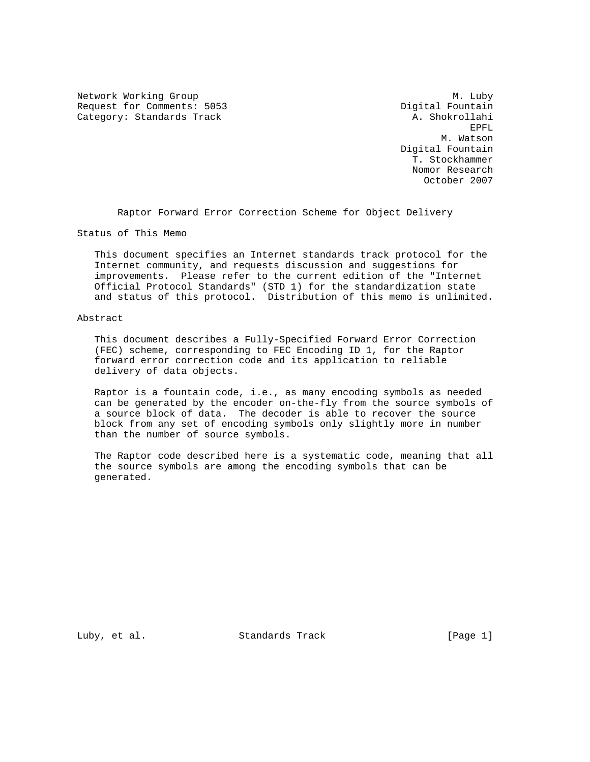Network Working Group<br>Request for Comments: 5053 Media Marshal Pountain Request for Comments: 5053 Category: Standards Track A. Shokrollahi

en de la construction de la construction de la construction de la construction de la construction de la construction de la construction de la construction de la construction de la construction de la construction de la cons M. Watson Digital Fountain T. Stockhammer Nomor Research October 2007

Raptor Forward Error Correction Scheme for Object Delivery

Status of This Memo

 This document specifies an Internet standards track protocol for the Internet community, and requests discussion and suggestions for improvements. Please refer to the current edition of the "Internet Official Protocol Standards" (STD 1) for the standardization state and status of this protocol. Distribution of this memo is unlimited.

Abstract

 This document describes a Fully-Specified Forward Error Correction (FEC) scheme, corresponding to FEC Encoding ID 1, for the Raptor forward error correction code and its application to reliable delivery of data objects.

 Raptor is a fountain code, i.e., as many encoding symbols as needed can be generated by the encoder on-the-fly from the source symbols of a source block of data. The decoder is able to recover the source block from any set of encoding symbols only slightly more in number than the number of source symbols.

 The Raptor code described here is a systematic code, meaning that all the source symbols are among the encoding symbols that can be generated.

Luby, et al. Standards Track [Page 1]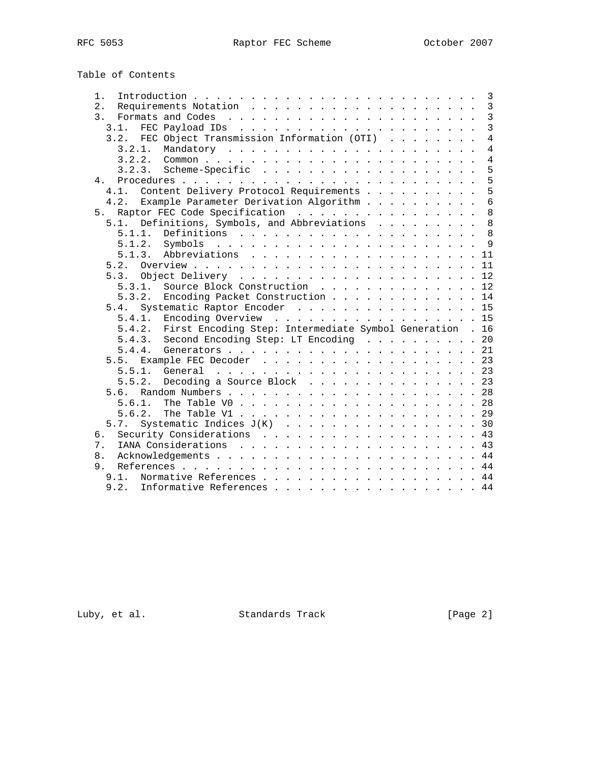| Table of Contents                                                                       |                |
|-----------------------------------------------------------------------------------------|----------------|
| 1.                                                                                      | $\overline{3}$ |
| 2.                                                                                      | $\overline{3}$ |
| 3.                                                                                      | $\overline{3}$ |
| 3.1.                                                                                    | $\overline{3}$ |
| FEC Object Transmission Information (OTI)<br>3.2.                                       | $\overline{4}$ |
| 3.2.1.                                                                                  | $\overline{4}$ |
| 3.2.2.                                                                                  | $\overline{4}$ |
| 3.2.3.                                                                                  | 5              |
|                                                                                         | 5              |
| 4.                                                                                      | 5              |
| Content Delivery Protocol Requirements<br>4.1.                                          |                |
| Example Parameter Derivation Algorithm<br>4.2.                                          | $\overline{6}$ |
| Raptor FEC Code Specification<br>5.                                                     | 8              |
| Definitions, Symbols, and Abbreviations<br>5.1.                                         | 8              |
| 5.1.1.                                                                                  |                |
| Symbols $\ldots \ldots \ldots \ldots \ldots \ldots \ldots \ldots \ldots \; 9$<br>5.1.2. |                |
| 5.1.3.<br>Abbreviations 11                                                              |                |
|                                                                                         |                |
| 5.3.                                                                                    |                |
| Source Block Construction 12<br>5.3.1.                                                  |                |
| Encoding Packet Construction<br>5.3.2.                                                  | 14             |
| Systematic Raptor Encoder 15<br>5.4.                                                    |                |
| 5.4.1. Encoding Overview 15                                                             |                |
| 5.4.2. First Encoding Step: Intermediate Symbol Generation . 16                         |                |
| Second Encoding Step: LT Encoding 20<br>5.4.3.                                          |                |
| 5.4.4.                                                                                  |                |
| Example FEC Decoder 23<br>5.5.                                                          |                |
| 5.5.1.                                                                                  |                |
| 5.5.2.<br>Decoding a Source Block 23                                                    |                |
| 5.6.                                                                                    |                |
| 5.6.1.                                                                                  |                |
|                                                                                         |                |
| 5.6.2.                                                                                  |                |
| Systematic Indices $J(K)$ 30<br>5.7.                                                    |                |
| Security Considerations 43<br>6.                                                        |                |
| 7.                                                                                      |                |
| 8.                                                                                      |                |
| 9.                                                                                      |                |
| Normative References 44<br>9.1.                                                         |                |
| 9.2.<br>Informative References 44                                                       |                |

Luby, et al. Standards Track [Page 2]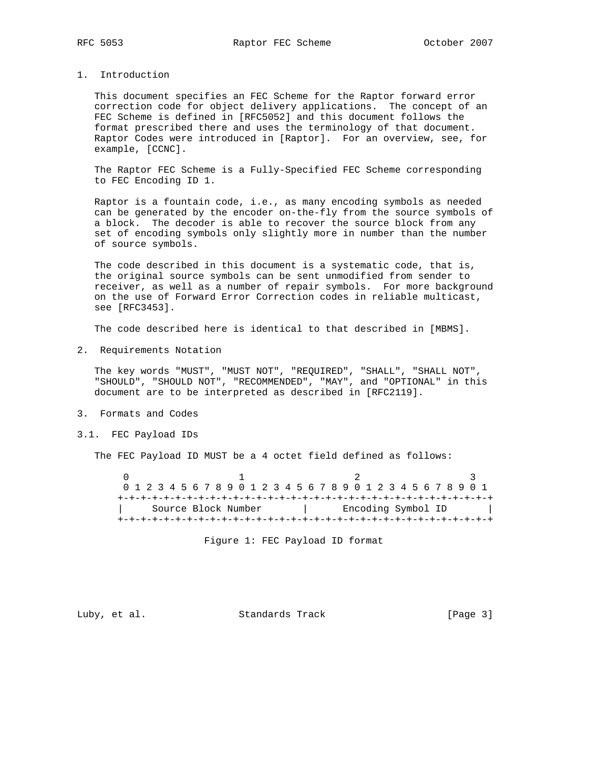# 1. Introduction

 This document specifies an FEC Scheme for the Raptor forward error correction code for object delivery applications. The concept of an FEC Scheme is defined in [RFC5052] and this document follows the format prescribed there and uses the terminology of that document. Raptor Codes were introduced in [Raptor]. For an overview, see, for example, [CCNC].

 The Raptor FEC Scheme is a Fully-Specified FEC Scheme corresponding to FEC Encoding ID 1.

 Raptor is a fountain code, i.e., as many encoding symbols as needed can be generated by the encoder on-the-fly from the source symbols of a block. The decoder is able to recover the source block from any set of encoding symbols only slightly more in number than the number of source symbols.

 The code described in this document is a systematic code, that is, the original source symbols can be sent unmodified from sender to receiver, as well as a number of repair symbols. For more background on the use of Forward Error Correction codes in reliable multicast, see [RFC3453].

The code described here is identical to that described in [MBMS].

2. Requirements Notation

 The key words "MUST", "MUST NOT", "REQUIRED", "SHALL", "SHALL NOT", "SHOULD", "SHOULD NOT", "RECOMMENDED", "MAY", and "OPTIONAL" in this document are to be interpreted as described in [RFC2119].

- 3. Formats and Codes
- 3.1. FEC Payload IDs

The FEC Payload ID MUST be a 4 octet field defined as follows:

 $0$  1 2 3 0 1 2 3 4 5 6 7 8 9 0 1 2 3 4 5 6 7 8 9 0 1 2 3 4 5 6 7 8 9 0 1 +-+-+-+-+-+-+-+-+-+-+-+-+-+-+-+-+-+-+-+-+-+-+-+-+-+-+-+-+-+-+-+-+ | Source Block Number | Encoding Symbol ID | +-+-+-+-+-+-+-+-+-+-+-+-+-+-+-+-+-+-+-+-+-+-+-+-+-+-+-+-+-+-+-+-+

Figure 1: FEC Payload ID format

Luby, et al. Standards Track [Page 3]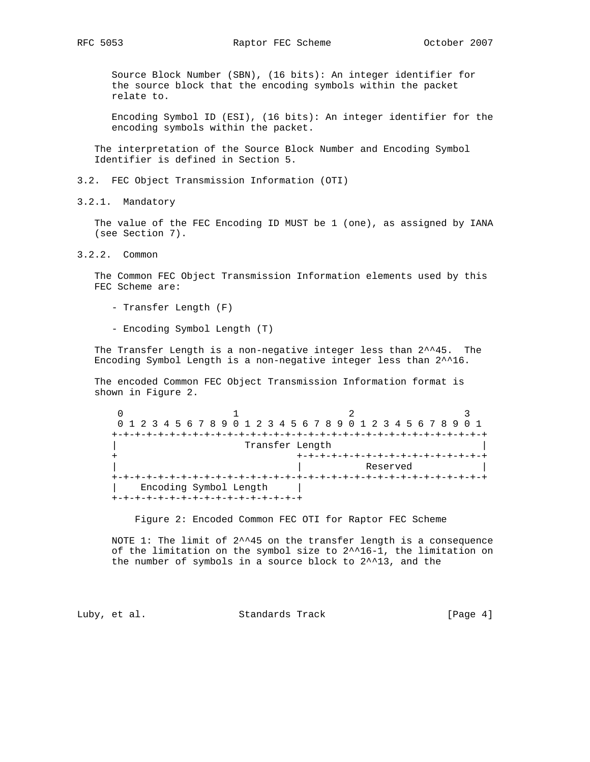Source Block Number (SBN), (16 bits): An integer identifier for the source block that the encoding symbols within the packet relate to.

 Encoding Symbol ID (ESI), (16 bits): An integer identifier for the encoding symbols within the packet.

 The interpretation of the Source Block Number and Encoding Symbol Identifier is defined in Section 5.

3.2. FEC Object Transmission Information (OTI)

3.2.1. Mandatory

 The value of the FEC Encoding ID MUST be 1 (one), as assigned by IANA (see Section 7).

3.2.2. Common

 The Common FEC Object Transmission Information elements used by this FEC Scheme are:

- Transfer Length (F)
- Encoding Symbol Length (T)

 The Transfer Length is a non-negative integer less than 2^^45. The Encoding Symbol Length is a non-negative integer less than 2^^16.

 The encoded Common FEC Object Transmission Information format is shown in Figure 2.

0  $1$  2 3 0 1 2 3 4 5 6 7 8 9 0 1 2 3 4 5 6 7 8 9 0 1 2 3 4 5 6 7 8 9 0 1 +-+-+-+-+-+-+-+-+-+-+-+-+-+-+-+-+-+-+-+-+-+-+-+-+-+-+-+-+-+-+-+-+ | Transfer Length | + +-+-+-+-+-+-+-+-+-+-+-+-+-+-+-+-+ Reserved +-+-+-+-+-+-+-+-+-+-+-+-+-+-+-+-+-+-+-+-+-+-+-+-+-+-+-+-+-+-+-+-+ | Encoding Symbol Length | +-+-+-+-+-+-+-+-+-+-+-+-+-+-+-+-+

Figure 2: Encoded Common FEC OTI for Raptor FEC Scheme

 NOTE 1: The limit of 2^^45 on the transfer length is a consequence of the limitation on the symbol size to 2^^16-1, the limitation on the number of symbols in a source block to 2^^13, and the

Luby, et al. Standards Track [Page 4]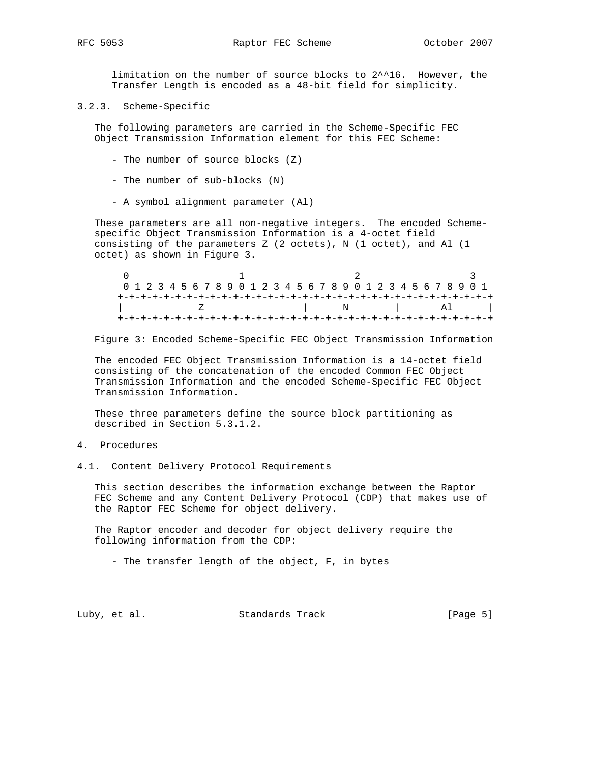limitation on the number of source blocks to 2^^16. However, the Transfer Length is encoded as a 48-bit field for simplicity.

3.2.3. Scheme-Specific

 The following parameters are carried in the Scheme-Specific FEC Object Transmission Information element for this FEC Scheme:

- The number of source blocks (Z)
- The number of sub-blocks (N)
- A symbol alignment parameter (Al)

 These parameters are all non-negative integers. The encoded Scheme specific Object Transmission Information is a 4-octet field consisting of the parameters Z (2 octets), N (1 octet), and Al (1 octet) as shown in Figure 3.

| 0 1 2 3 4 5 6 7 8 9 0 1 2 3 4 5 6 7 8 9 0 1 2 3 4 5 6 7 8 9 0 1 |                     |
|-----------------------------------------------------------------|---------------------|
|                                                                 |                     |
|                                                                 | $N$ al $\mathbb{A}$ |
|                                                                 |                     |

Figure 3: Encoded Scheme-Specific FEC Object Transmission Information

 The encoded FEC Object Transmission Information is a 14-octet field consisting of the concatenation of the encoded Common FEC Object Transmission Information and the encoded Scheme-Specific FEC Object Transmission Information.

 These three parameters define the source block partitioning as described in Section 5.3.1.2.

- 4. Procedures
- 4.1. Content Delivery Protocol Requirements

 This section describes the information exchange between the Raptor FEC Scheme and any Content Delivery Protocol (CDP) that makes use of the Raptor FEC Scheme for object delivery.

 The Raptor encoder and decoder for object delivery require the following information from the CDP:

- The transfer length of the object, F, in bytes

Luby, et al. Standards Track [Page 5]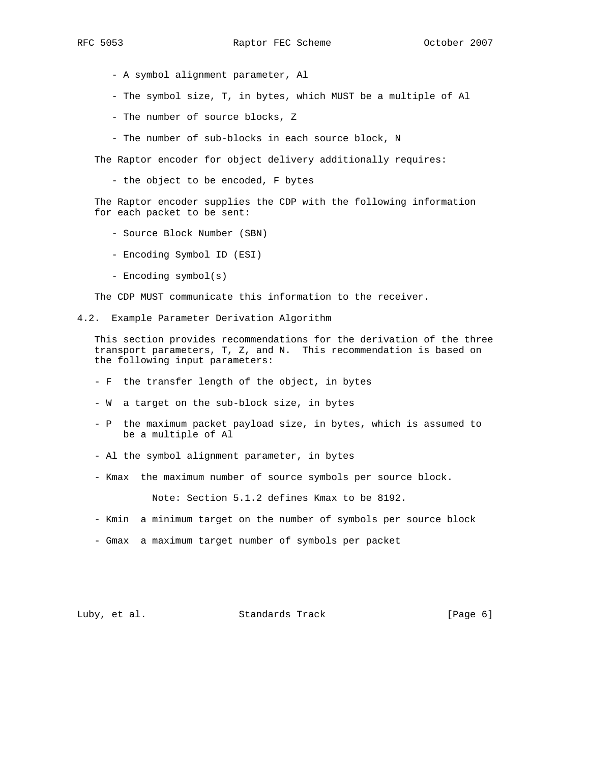- - A symbol alignment parameter, Al
	- The symbol size, T, in bytes, which MUST be a multiple of Al
	- The number of source blocks, Z
	- The number of sub-blocks in each source block, N

The Raptor encoder for object delivery additionally requires:

- the object to be encoded, F bytes

 The Raptor encoder supplies the CDP with the following information for each packet to be sent:

- Source Block Number (SBN)
- Encoding Symbol ID (ESI)
- Encoding symbol(s)

The CDP MUST communicate this information to the receiver.

4.2. Example Parameter Derivation Algorithm

 This section provides recommendations for the derivation of the three transport parameters, T, Z, and N. This recommendation is based on the following input parameters:

- F the transfer length of the object, in bytes
- W a target on the sub-block size, in bytes
- P the maximum packet payload size, in bytes, which is assumed to be a multiple of Al
- Al the symbol alignment parameter, in bytes
- Kmax the maximum number of source symbols per source block.

Note: Section 5.1.2 defines Kmax to be 8192.

- Kmin a minimum target on the number of symbols per source block
- Gmax a maximum target number of symbols per packet

# Luby, et al. Standards Track [Page 6]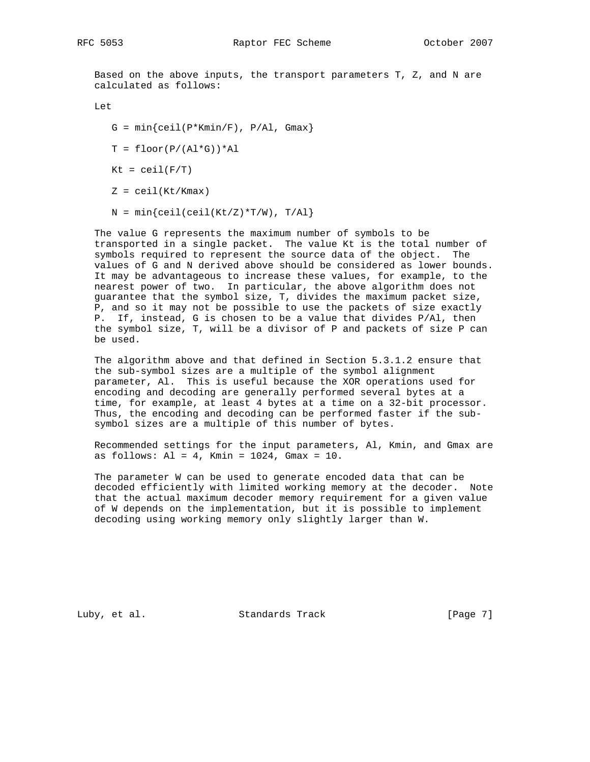Based on the above inputs, the transport parameters T, Z, and N are calculated as follows:

Let

- $G = min{ceil(P*Kmin/F), P/Al, Gmax}$
- $T = \text{floor}(P/(A1*G)) * A1$

 $Kt = ceil(F/T)$ 

- $Z = \text{ceil}(Kt/Kmax)$
- $N = min{ceil(ceil(Kt/Z)*T/W)}$ ,  $T/AL$ }

 The value G represents the maximum number of symbols to be transported in a single packet. The value Kt is the total number of symbols required to represent the source data of the object. The values of G and N derived above should be considered as lower bounds. It may be advantageous to increase these values, for example, to the nearest power of two. In particular, the above algorithm does not guarantee that the symbol size, T, divides the maximum packet size, P, and so it may not be possible to use the packets of size exactly P. If, instead, G is chosen to be a value that divides P/Al, then the symbol size, T, will be a divisor of P and packets of size P can be used.

 The algorithm above and that defined in Section 5.3.1.2 ensure that the sub-symbol sizes are a multiple of the symbol alignment parameter, Al. This is useful because the XOR operations used for encoding and decoding are generally performed several bytes at a time, for example, at least 4 bytes at a time on a 32-bit processor. Thus, the encoding and decoding can be performed faster if the sub symbol sizes are a multiple of this number of bytes.

 Recommended settings for the input parameters, Al, Kmin, and Gmax are as follows: Al = 4, Kmin = 1024, Gmax = 10.

 The parameter W can be used to generate encoded data that can be decoded efficiently with limited working memory at the decoder. Note that the actual maximum decoder memory requirement for a given value of W depends on the implementation, but it is possible to implement decoding using working memory only slightly larger than W.

Luby, et al. Standards Track [Page 7]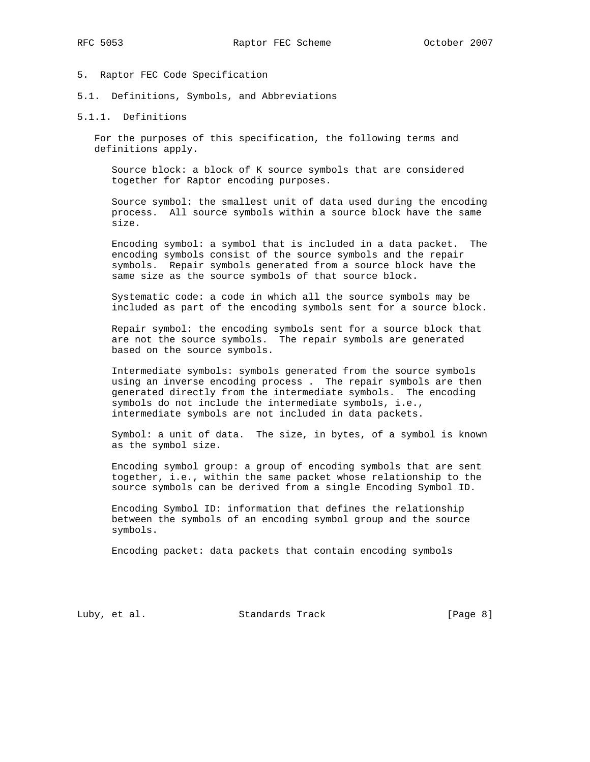- 5. Raptor FEC Code Specification
- 5.1. Definitions, Symbols, and Abbreviations
- 5.1.1. Definitions

 For the purposes of this specification, the following terms and definitions apply.

 Source block: a block of K source symbols that are considered together for Raptor encoding purposes.

 Source symbol: the smallest unit of data used during the encoding process. All source symbols within a source block have the same size.

 Encoding symbol: a symbol that is included in a data packet. The encoding symbols consist of the source symbols and the repair symbols. Repair symbols generated from a source block have the same size as the source symbols of that source block.

 Systematic code: a code in which all the source symbols may be included as part of the encoding symbols sent for a source block.

 Repair symbol: the encoding symbols sent for a source block that are not the source symbols. The repair symbols are generated based on the source symbols.

 Intermediate symbols: symbols generated from the source symbols using an inverse encoding process . The repair symbols are then generated directly from the intermediate symbols. The encoding symbols do not include the intermediate symbols, i.e., intermediate symbols are not included in data packets.

 Symbol: a unit of data. The size, in bytes, of a symbol is known as the symbol size.

 Encoding symbol group: a group of encoding symbols that are sent together, i.e., within the same packet whose relationship to the source symbols can be derived from a single Encoding Symbol ID.

 Encoding Symbol ID: information that defines the relationship between the symbols of an encoding symbol group and the source symbols.

Encoding packet: data packets that contain encoding symbols

Luby, et al. Standards Track [Page 8]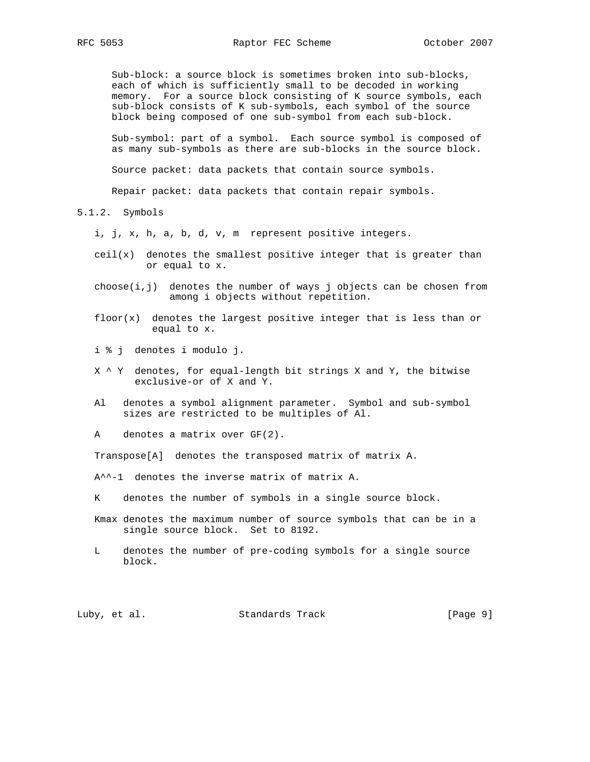Sub-block: a source block is sometimes broken into sub-blocks, each of which is sufficiently small to be decoded in working memory. For a source block consisting of K source symbols, each sub-block consists of K sub-symbols, each symbol of the source block being composed of one sub-symbol from each sub-block.

 Sub-symbol: part of a symbol. Each source symbol is composed of as many sub-symbols as there are sub-blocks in the source block.

Source packet: data packets that contain source symbols.

Repair packet: data packets that contain repair symbols.

5.1.2. Symbols

i, j, x, h, a, b, d, v, m represent positive integers.

- $ceil(x)$  denotes the smallest positive integer that is greater than or equal to x.
- $choose(i,j)$  denotes the number of ways j objects can be chosen from among i objects without repetition.
- $floor(x)$  denotes the largest positive integer that is less than or equal to x.
- i % j denotes i modulo j.
- X ^ Y denotes, for equal-length bit strings X and Y, the bitwise exclusive-or of X and Y.
- Al denotes a symbol alignment parameter. Symbol and sub-symbol sizes are restricted to be multiples of Al.

A denotes a matrix over GF(2).

Transpose[A] denotes the transposed matrix of matrix A.

- A^^-1 denotes the inverse matrix of matrix A.
- K denotes the number of symbols in a single source block.
- Kmax denotes the maximum number of source symbols that can be in a single source block. Set to 8192.
- L denotes the number of pre-coding symbols for a single source block.

Luby, et al. Standards Track [Page 9]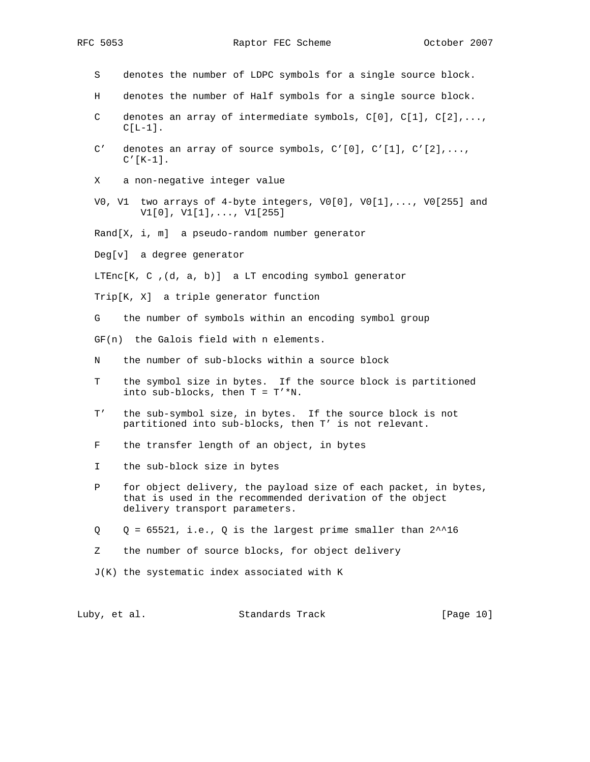- S denotes the number of LDPC symbols for a single source block.
- H denotes the number of Half symbols for a single source block.
- C denotes an array of intermediate symbols,  $C[0]$ ,  $C[1]$ ,  $C[2]$ ,...,  $C[L-1]$ .
- C' denotes an array of source symbols,  $C'[0]$ ,  $C'[1]$ ,  $C'[2]$ ,...,  $C'[K-1]$ .
- X a non-negative integer value
- V0, V1 two arrays of 4-byte integers, V0[0], V0[1],..., V0[255] and V1[0], V1[1],..., V1[255]
- Rand[X, i, m] a pseudo-random number generator
- Deg[v] a degree generator

LTEnc $[K, C, (d, a, b)]$  a LT encoding symbol generator

- Trip[K, X] a triple generator function
- G the number of symbols within an encoding symbol group
- GF(n) the Galois field with n elements.
- N the number of sub-blocks within a source block
- T the symbol size in bytes. If the source block is partitioned into sub-blocks, then  $T = T' * N$ .
- T' the sub-symbol size, in bytes. If the source block is not partitioned into sub-blocks, then T' is not relevant.
- F the transfer length of an object, in bytes
- I the sub-block size in bytes
- P for object delivery, the payload size of each packet, in bytes, that is used in the recommended derivation of the object delivery transport parameters.
- $Q = 65521$ , i.e., Q is the largest prime smaller than  $2^{\lambda}$ 16
- Z the number of source blocks, for object delivery
- J(K) the systematic index associated with K

Luby, et al. Standards Track [Page 10]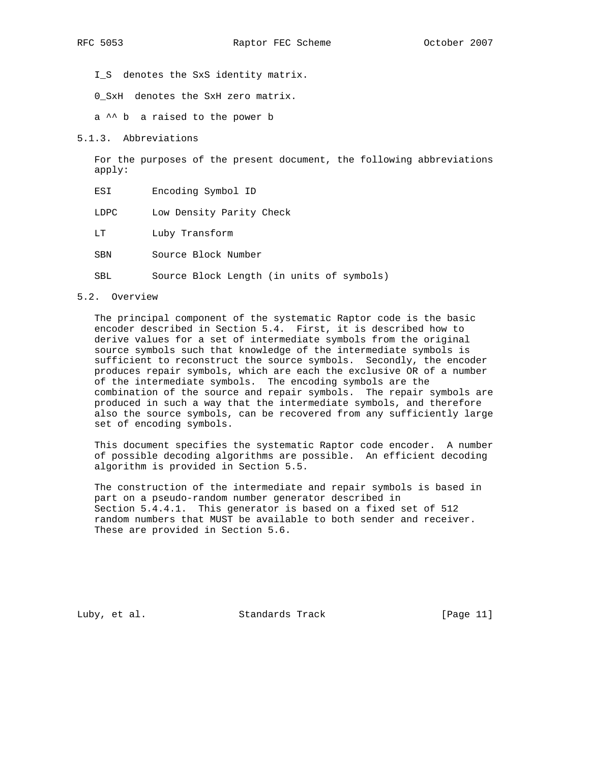I\_S denotes the SxS identity matrix.

0\_SxH denotes the SxH zero matrix.

a ^^ b a raised to the power b

5.1.3. Abbreviations

 For the purposes of the present document, the following abbreviations apply:

- ESI Encoding Symbol ID
- LDPC Low Density Parity Check
- LT Luby Transform
- SBN Source Block Number
- SBL Source Block Length (in units of symbols)

# 5.2. Overview

 The principal component of the systematic Raptor code is the basic encoder described in Section 5.4. First, it is described how to derive values for a set of intermediate symbols from the original source symbols such that knowledge of the intermediate symbols is sufficient to reconstruct the source symbols. Secondly, the encoder produces repair symbols, which are each the exclusive OR of a number of the intermediate symbols. The encoding symbols are the combination of the source and repair symbols. The repair symbols are produced in such a way that the intermediate symbols, and therefore also the source symbols, can be recovered from any sufficiently large set of encoding symbols.

 This document specifies the systematic Raptor code encoder. A number of possible decoding algorithms are possible. An efficient decoding algorithm is provided in Section 5.5.

 The construction of the intermediate and repair symbols is based in part on a pseudo-random number generator described in Section 5.4.4.1. This generator is based on a fixed set of 512 random numbers that MUST be available to both sender and receiver. These are provided in Section 5.6.

Luby, et al. Standards Track [Page 11]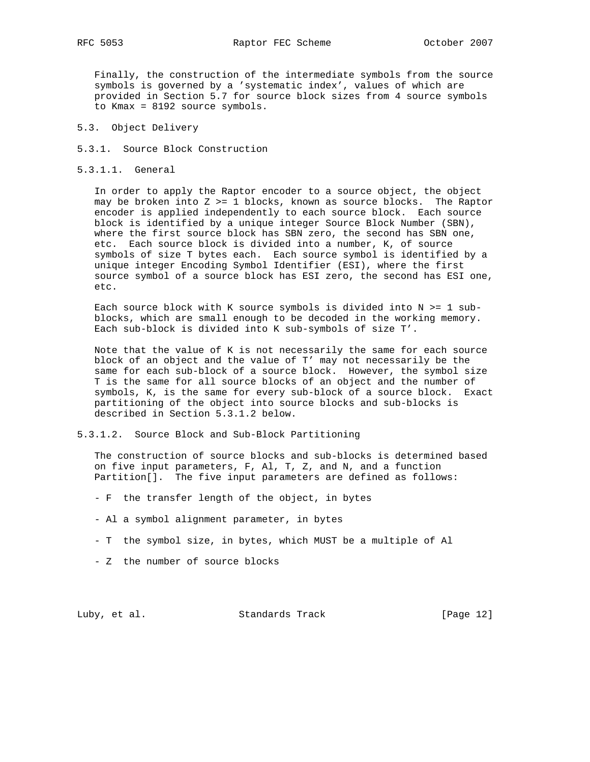Finally, the construction of the intermediate symbols from the source symbols is governed by a 'systematic index', values of which are provided in Section 5.7 for source block sizes from 4 source symbols to Kmax = 8192 source symbols.

- 5.3. Object Delivery
- 5.3.1. Source Block Construction
- 5.3.1.1. General

 In order to apply the Raptor encoder to a source object, the object may be broken into  $Z \geq 1$  blocks, known as source blocks. The Raptor encoder is applied independently to each source block. Each source block is identified by a unique integer Source Block Number (SBN), where the first source block has SBN zero, the second has SBN one, etc. Each source block is divided into a number, K, of source symbols of size T bytes each. Each source symbol is identified by a unique integer Encoding Symbol Identifier (ESI), where the first source symbol of a source block has ESI zero, the second has ESI one, etc.

Each source block with K source symbols is divided into  $N \geq 1$  sub blocks, which are small enough to be decoded in the working memory. Each sub-block is divided into K sub-symbols of size T'.

 Note that the value of K is not necessarily the same for each source block of an object and the value of T' may not necessarily be the same for each sub-block of a source block. However, the symbol size T is the same for all source blocks of an object and the number of symbols, K, is the same for every sub-block of a source block. Exact partitioning of the object into source blocks and sub-blocks is described in Section 5.3.1.2 below.

5.3.1.2. Source Block and Sub-Block Partitioning

 The construction of source blocks and sub-blocks is determined based on five input parameters, F, Al, T, Z, and N, and a function Partition[]. The five input parameters are defined as follows:

- F the transfer length of the object, in bytes
- Al a symbol alignment parameter, in bytes
- T the symbol size, in bytes, which MUST be a multiple of Al
- Z the number of source blocks

Luby, et al. Standards Track [Page 12]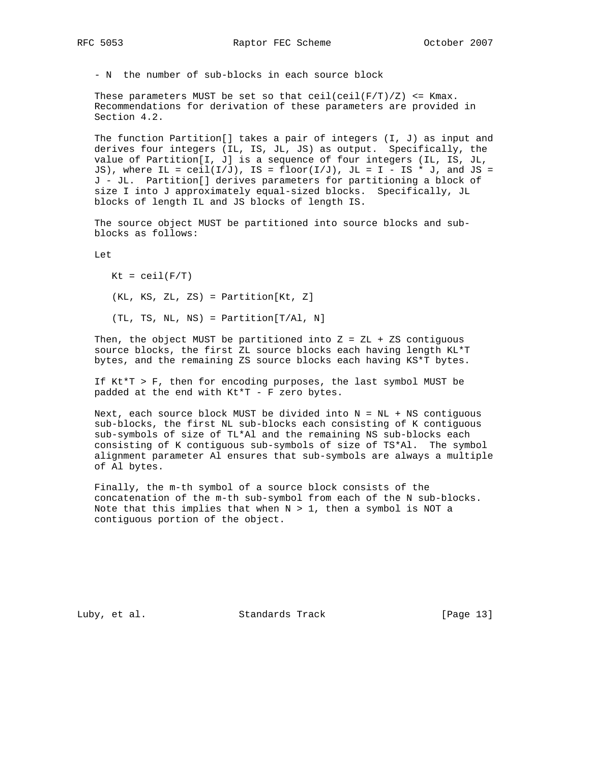- N the number of sub-blocks in each source block

These parameters MUST be set so that  $ceil(ceil(F/T)/Z)$  <= Kmax. Recommendations for derivation of these parameters are provided in Section 4.2.

 The function Partition[] takes a pair of integers (I, J) as input and derives four integers (IL, IS, JL, JS) as output. Specifically, the value of Partition[I, J] is a sequence of four integers (IL, IS, JL, JS), where IL =  $ceil(I/J)$ , IS =  $floor(I/J)$ , JL = I - IS \* J, and JS = J - JL. Partition[] derives parameters for partitioning a block of size I into J approximately equal-sized blocks. Specifically, JL blocks of length IL and JS blocks of length IS.

 The source object MUST be partitioned into source blocks and sub blocks as follows:

Let

 $Kt = ceil(F/T)$  (KL, KS, ZL, ZS) = Partition[Kt, Z] (TL, TS, NL, NS) = Partition[T/Al, N]

Then, the object MUST be partitioned into  $Z = ZL + ZS$  contiguous source blocks, the first ZL source blocks each having length KL\*T bytes, and the remaining ZS source blocks each having KS\*T bytes.

 If Kt\*T > F, then for encoding purposes, the last symbol MUST be padded at the end with Kt\*T - F zero bytes.

 Next, each source block MUST be divided into N = NL + NS contiguous sub-blocks, the first NL sub-blocks each consisting of K contiguous sub-symbols of size of TL\*Al and the remaining NS sub-blocks each consisting of K contiguous sub-symbols of size of TS\*Al. The symbol alignment parameter Al ensures that sub-symbols are always a multiple of Al bytes.

 Finally, the m-th symbol of a source block consists of the concatenation of the m-th sub-symbol from each of the N sub-blocks. Note that this implies that when  $N > 1$ , then a symbol is NOT a contiguous portion of the object.

Luby, et al. Standards Track [Page 13]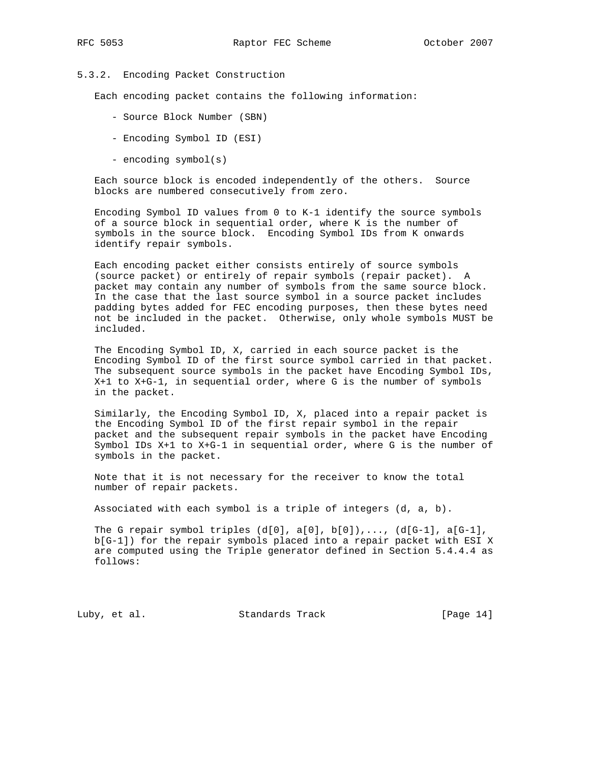# 5.3.2. Encoding Packet Construction

Each encoding packet contains the following information:

- Source Block Number (SBN)
- Encoding Symbol ID (ESI)
- encoding symbol(s)

 Each source block is encoded independently of the others. Source blocks are numbered consecutively from zero.

 Encoding Symbol ID values from 0 to K-1 identify the source symbols of a source block in sequential order, where K is the number of symbols in the source block. Encoding Symbol IDs from K onwards identify repair symbols.

 Each encoding packet either consists entirely of source symbols (source packet) or entirely of repair symbols (repair packet). A packet may contain any number of symbols from the same source block. In the case that the last source symbol in a source packet includes padding bytes added for FEC encoding purposes, then these bytes need not be included in the packet. Otherwise, only whole symbols MUST be included.

 The Encoding Symbol ID, X, carried in each source packet is the Encoding Symbol ID of the first source symbol carried in that packet. The subsequent source symbols in the packet have Encoding Symbol IDs, X+1 to X+G-1, in sequential order, where G is the number of symbols in the packet.

 Similarly, the Encoding Symbol ID, X, placed into a repair packet is the Encoding Symbol ID of the first repair symbol in the repair packet and the subsequent repair symbols in the packet have Encoding Symbol IDs X+1 to X+G-1 in sequential order, where G is the number of symbols in the packet.

 Note that it is not necessary for the receiver to know the total number of repair packets.

Associated with each symbol is a triple of integers (d, a, b).

The G repair symbol triples  $(d[0], d[0], b[0]), ..., (d[G-1], d[G-1],$  b[G-1]) for the repair symbols placed into a repair packet with ESI X are computed using the Triple generator defined in Section 5.4.4.4 as follows:

Luby, et al. Standards Track [Page 14]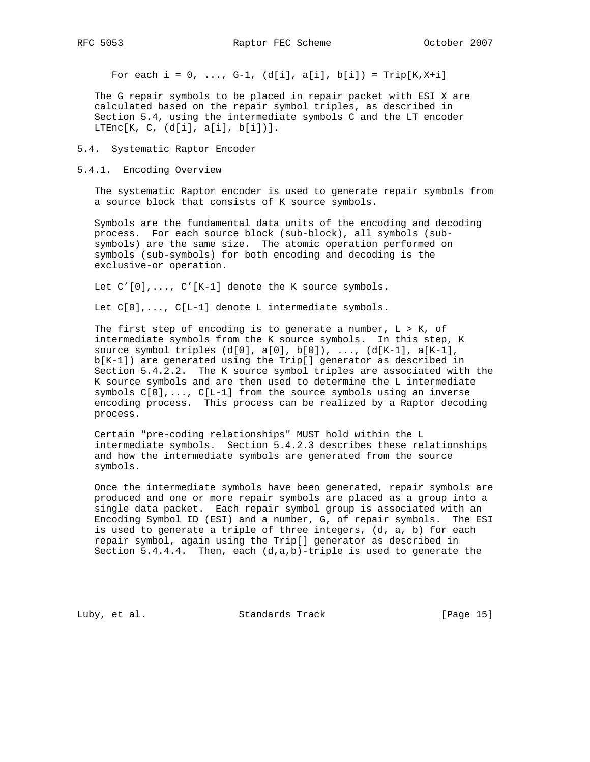For each  $i = 0, ..., G-1, (d[i], a[i], b[i]) = Trip[K, X+i]$ 

 The G repair symbols to be placed in repair packet with ESI X are calculated based on the repair symbol triples, as described in Section 5.4, using the intermediate symbols C and the LT encoder LTEnc $[K, C, (d[i], a[i], b[i])].$ 

#### 5.4. Systematic Raptor Encoder

#### 5.4.1. Encoding Overview

 The systematic Raptor encoder is used to generate repair symbols from a source block that consists of K source symbols.

 Symbols are the fundamental data units of the encoding and decoding process. For each source block (sub-block), all symbols (sub symbols) are the same size. The atomic operation performed on symbols (sub-symbols) for both encoding and decoding is the exclusive-or operation.

Let  $C'[0], \ldots, C'[K-1]$  denote the K source symbols.

Let C[0],..., C[L-1] denote L intermediate symbols.

The first step of encoding is to generate a number,  $L > K$ , of intermediate symbols from the K source symbols. In this step, K source symbol triples  $(d[0], d[0], b[0]), ..., (d[K-1], d[K-1],$  b[K-1]) are generated using the Trip[] generator as described in Section 5.4.2.2. The K source symbol triples are associated with the K source symbols and are then used to determine the L intermediate symbols C[0],..., C[L-1] from the source symbols using an inverse encoding process. This process can be realized by a Raptor decoding process.

 Certain "pre-coding relationships" MUST hold within the L intermediate symbols. Section 5.4.2.3 describes these relationships and how the intermediate symbols are generated from the source symbols.

 Once the intermediate symbols have been generated, repair symbols are produced and one or more repair symbols are placed as a group into a single data packet. Each repair symbol group is associated with an Encoding Symbol ID (ESI) and a number, G, of repair symbols. The ESI is used to generate a triple of three integers, (d, a, b) for each repair symbol, again using the Trip[] generator as described in Section  $5.4.4.4$ . Then, each  $(d,a,b)$ -triple is used to generate the

Luby, et al. Standards Track [Page 15]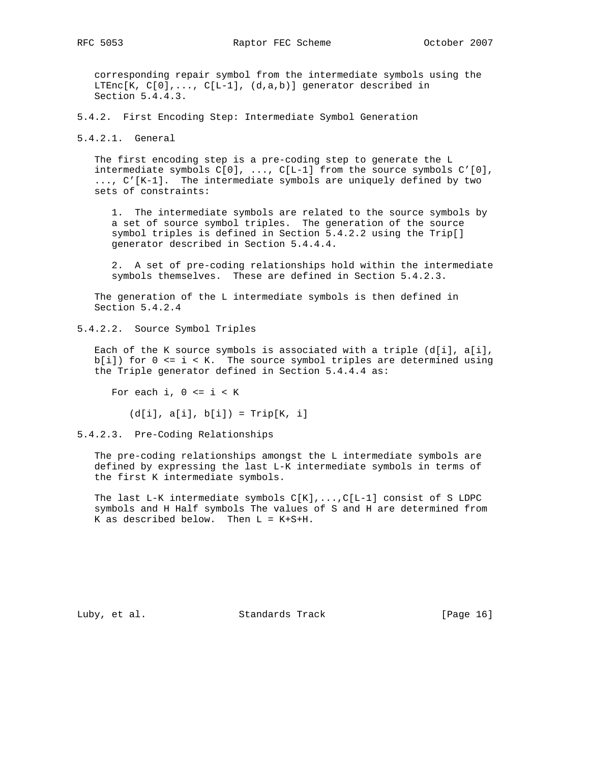corresponding repair symbol from the intermediate symbols using the LTEnc $[K, C[0], \ldots, C[L-1], (d,a,b)]$  generator described in Section 5.4.4.3.

5.4.2. First Encoding Step: Intermediate Symbol Generation

5.4.2.1. General

 The first encoding step is a pre-coding step to generate the L intermediate symbols C[0], ..., C[L-1] from the source symbols C'[0], ..., C'[K-1]. The intermediate symbols are uniquely defined by two sets of constraints:

 1. The intermediate symbols are related to the source symbols by a set of source symbol triples. The generation of the source symbol triples is defined in Section 5.4.2.2 using the Trip[] generator described in Section 5.4.4.4.

 2. A set of pre-coding relationships hold within the intermediate symbols themselves. These are defined in Section 5.4.2.3.

 The generation of the L intermediate symbols is then defined in Section 5.4.2.4

5.4.2.2. Source Symbol Triples

 Each of the K source symbols is associated with a triple (d[i], a[i],  $b[i]$ ) for  $0 \le i \le K$ . The source symbol triples are determined using the Triple generator defined in Section 5.4.4.4 as:

For each  $i, 0 \le i \le K$ 

 $(d[i], a[i], b[i]) = Trip[K, i]$ 

5.4.2.3. Pre-Coding Relationships

 The pre-coding relationships amongst the L intermediate symbols are defined by expressing the last L-K intermediate symbols in terms of the first K intermediate symbols.

The last L-K intermediate symbols  $C[K], \ldots, C[L-1]$  consist of S LDPC symbols and H Half symbols The values of S and H are determined from K as described below. Then L = K+S+H.

Luby, et al. Standards Track [Page 16]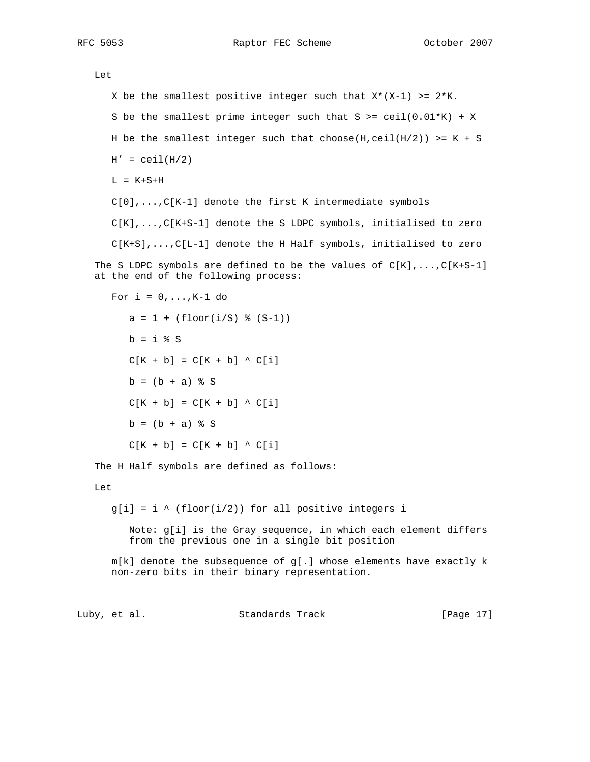RFC 5053 Raptor FEC Scheme Cotober 2007

Let

```
X be the smallest positive integer such that X^*(X-1) >= 2*K.
      S be the smallest prime integer such that S \geq \operatorname{ceil}(0.01*K) + XH be the smallest integer such that choose(H,ceil(H/2)) >= K + S
      H' = \text{ceil}(H/2)L = K+S+H C[0],...,C[K-1] denote the first K intermediate symbols
       C[K],...,C[K+S-1] denote the S LDPC symbols, initialised to zero
       C[K+S],...,C[L-1] denote the H Half symbols, initialised to zero
   The S LDPC symbols are defined to be the values of C[K], \ldots, C[K+S-1] at the end of the following process:
      For i = 0, \ldots, K-1 do
         a = 1 + (floor(i/S) % (S-1))b = i % sC[K + b] = C[K + b] \wedge C[i]b = (b + a) % S
         C[K + b] = C[K + b] \wedge C[i]b = (b + a) % S
         C[K + b] = C[K + b] \wedge C[i]The H Half symbols are defined as follows:
    Let
      g[i] = i \wedge (floor(i/2)) for all positive integers i
          Note: g[i] is the Gray sequence, in which each element differs
          from the previous one in a single bit position
      m[k] denote the subsequence of g[.] whose elements have exactly k non-zero bits in their binary representation.
Luby, et al. Standards Track [Page 17]
```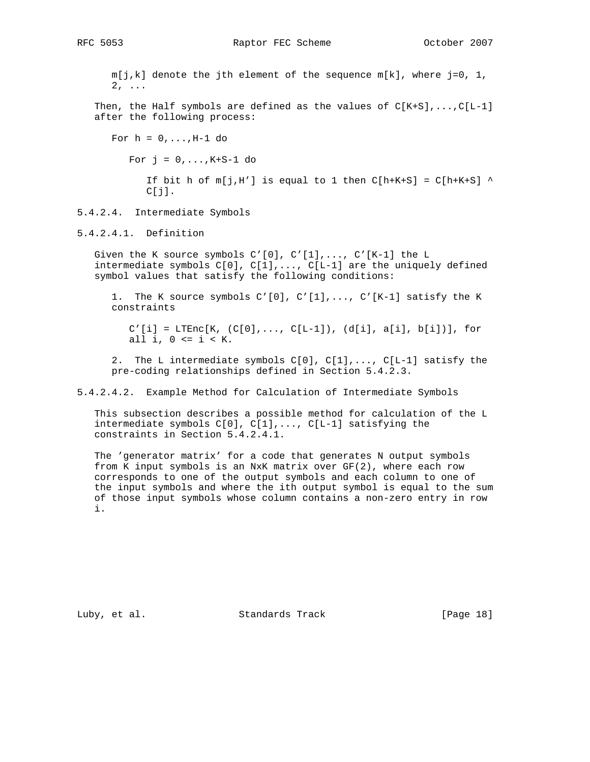m[j,k] denote the jth element of the sequence m[k], where j=0, 1, 2, ... Then, the Half symbols are defined as the values of  $C[K+S], \ldots, C[L-1]$  after the following process: For  $h = 0, \ldots, H-1$  do For  $j = 0, \ldots, K+S-1$  do If bit h of  $m[j,H']$  is equal to 1 then  $C[h+K+S] = C[h+K+S]$  ^  $C[j]$ . 5.4.2.4. Intermediate Symbols 5.4.2.4.1. Definition Given the K source symbols  $C'[0], C'[1], \ldots, C'[K-1]$  the L intermediate symbols  $C[0], C[1], \ldots, C[L-1]$  are the uniquely defined symbol values that satisfy the following conditions: 1. The K source symbols C'[0], C'[1],..., C'[K-1] satisfy the K constraints

> $C'[i] = LTEnc[K, (C[0], ..., C[L-1]), (d[i], a[i], b[i])], for$ all i,  $0 \le i \le K$ .

 2. The L intermediate symbols C[0], C[1],..., C[L-1] satisfy the pre-coding relationships defined in Section 5.4.2.3.

5.4.2.4.2. Example Method for Calculation of Intermediate Symbols

 This subsection describes a possible method for calculation of the L intermediate symbols C[0], C[1],..., C[L-1] satisfying the constraints in Section 5.4.2.4.1.

 The 'generator matrix' for a code that generates N output symbols from K input symbols is an NxK matrix over GF(2), where each row corresponds to one of the output symbols and each column to one of the input symbols and where the ith output symbol is equal to the sum of those input symbols whose column contains a non-zero entry in row i.

Luby, et al. Standards Track [Page 18]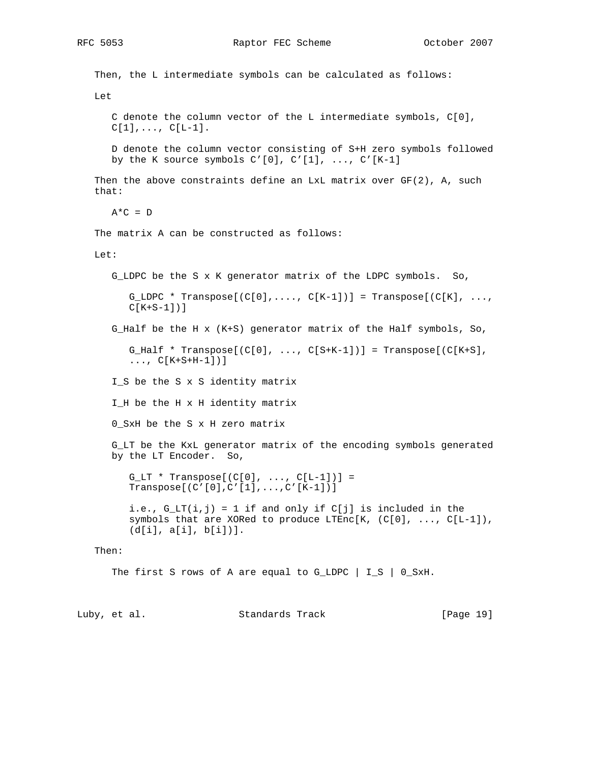Then, the L intermediate symbols can be calculated as follows: Let C denote the column vector of the L intermediate symbols, C[0],  $C[1], \ldots, C[L-1].$  D denote the column vector consisting of S+H zero symbols followed by the K source symbols  $C'[0], C'[1], ..., C'[K-1]$ Then the above constraints define an LxL matrix over  $GF(2)$ , A, such that:  $A*C = D$  The matrix A can be constructed as follows: Let: G\_LDPC be the S x K generator matrix of the LDPC symbols. So, G\_LDPC \* Transpose $[ (C[0], \ldots, C[K-1]) ] =$  Transpose $[ (C[K], \ldots,$  $C[K+S-1])$ ] G\_Half be the H x (K+S) generator matrix of the Half symbols, So, G\_Half \* Transpose $[ (C[0], ..., C[S+K-1]) ] =$  Transpose $[ (C[K+S],$  $\ldots$ ,  $C[K+S+H-1])$ ] I\_S be the S x S identity matrix I\_H be the H x H identity matrix 0 SxH be the S x H zero matrix G\_LT be the KxL generator matrix of the encoding symbols generated by the LT Encoder. So,  $G_LT$  \* Transpose $[(C[0], \ldots, C[L-1])]$  Transpose[(C'[0],C'[1],...,C'[K-1])] i.e.,  $G_LT(i,j) = 1$  if and only if  $C[j]$  is included in the symbols that are XORed to produce LTEnc[K,  $(C[0], \ldots, C[L-1])$ , (d[i], a[i], b[i])]. Then: The first S rows of A are equal to G\_LDPC | I\_S | 0\_SxH.

Luby, et al. Standards Track [Page 19]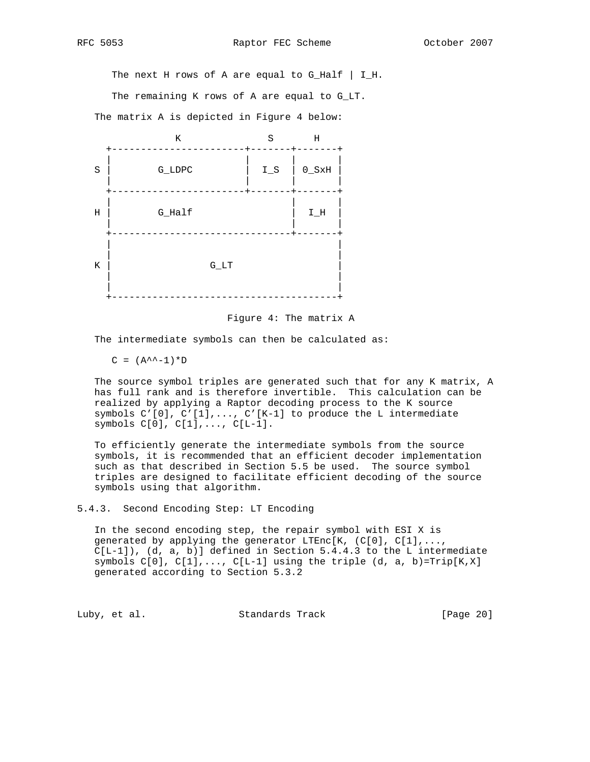The next H rows of A are equal to  $G_H$ Alf | I\_H.

The remaining K rows of A are equal to G\_LT.

The matrix A is depicted in Figure 4 below:



Figure 4: The matrix A

The intermediate symbols can then be calculated as:

 $C = (A^{\wedge^{\wedge} -1})^*D$ 

 The source symbol triples are generated such that for any K matrix, A has full rank and is therefore invertible. This calculation can be realized by applying a Raptor decoding process to the K source symbols C'[0], C'[1],..., C'[K-1] to produce the L intermediate symbols C[0], C[1],..., C[L-1].

 To efficiently generate the intermediate symbols from the source symbols, it is recommended that an efficient decoder implementation such as that described in Section 5.5 be used. The source symbol triples are designed to facilitate efficient decoding of the source symbols using that algorithm.

5.4.3. Second Encoding Step: LT Encoding

 In the second encoding step, the repair symbol with ESI X is generated by applying the generator LTEnc[K,  $(C[0], C[1], \ldots, C[X])$  $C[L-1]$ ,  $(d, a, b)$ ] defined in Section 5.4.4.3 to the L intermediate symbols  $C[0]$ ,  $C[1]$ ,...,  $C[L-1]$  using the triple  $(d, a, b)$ =Trip $[K, X]$ generated according to Section 5.3.2

Luby, et al. Standards Track [Page 20]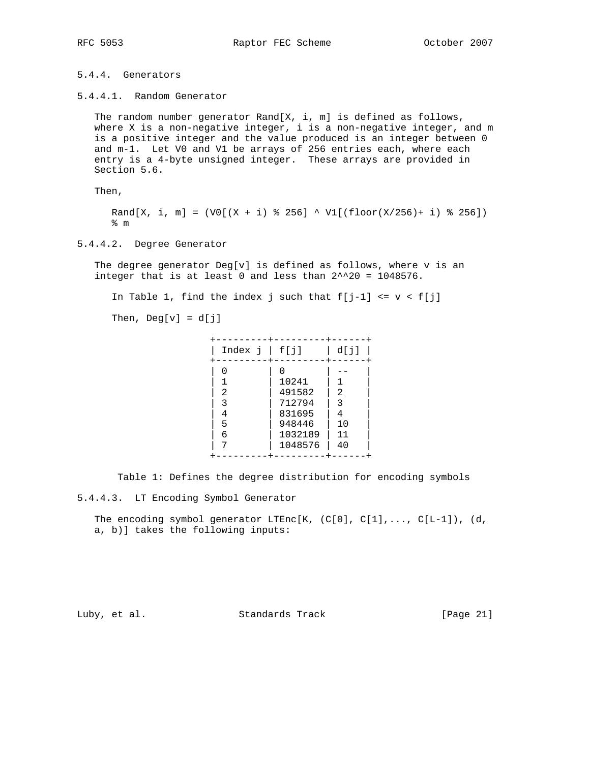# 5.4.4. Generators

5.4.4.1. Random Generator

 The random number generator Rand[X, i, m] is defined as follows, where X is a non-negative integer, i is a non-negative integer, and m is a positive integer and the value produced is an integer between 0 and m-1. Let V0 and V1 be arrays of 256 entries each, where each entry is a 4-byte unsigned integer. These arrays are provided in Section 5.6.

Then,

Rand[X, i, m] =  $(V0[(X + i) % 256] ^)$  V1[(floor(X/256)+ i) % 256]) % m

# 5.4.4.2. Degree Generator

The degree generator  $Deg[v]$  is defined as follows, where  $v$  is an integer that is at least 0 and less than  $2^{\wedge}20 = 1048576$ .

In Table 1, find the index j such that  $f[j-1]$  <=  $v$  <  $f[j]$ 

Then,  $Deg[v] = d[j]$ 

| Index $j \mid f[j]$                                                                                                                | d[j] |  |
|------------------------------------------------------------------------------------------------------------------------------------|------|--|
| 10241<br>491582<br>2<br>2<br>712794<br>3<br>3<br>831695<br>4<br>4<br>948446<br>10<br>5<br>1032189<br>11<br>6<br>1048576<br>40<br>⇁ |      |  |

Table 1: Defines the degree distribution for encoding symbols

5.4.4.3. LT Encoding Symbol Generator

The encoding symbol generator LTEnc[K,  $(C[0], C[1], \ldots, C[L-1])$ ,  $(d,$ a, b)] takes the following inputs:

Luby, et al. Standards Track [Page 21]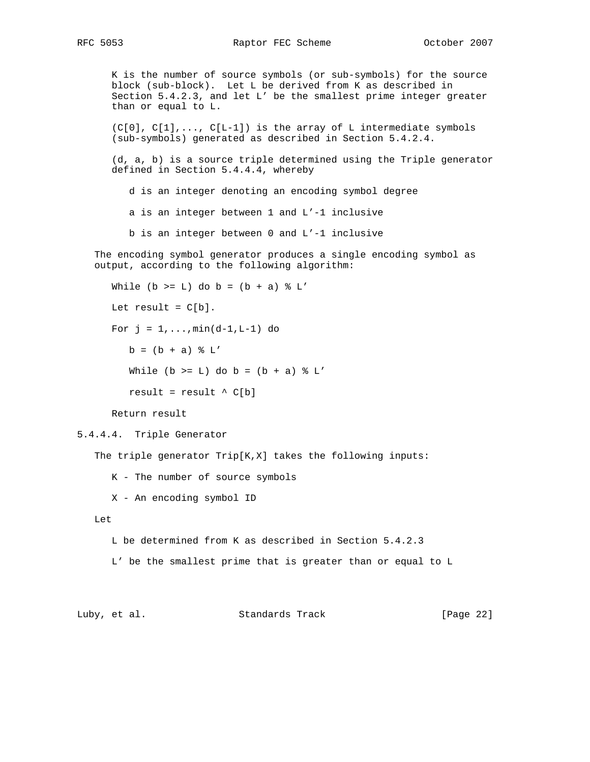K is the number of source symbols (or sub-symbols) for the source block (sub-block). Let L be derived from K as described in Section 5.4.2.3, and let L' be the smallest prime integer greater than or equal to L.

 $(C[0], C[1], \ldots, C[L-1])$  is the array of L intermediate symbols (sub-symbols) generated as described in Section 5.4.2.4.

 (d, a, b) is a source triple determined using the Triple generator defined in Section 5.4.4.4, whereby

d is an integer denoting an encoding symbol degree

a is an integer between 1 and L'-1 inclusive

b is an integer between 0 and L'-1 inclusive

 The encoding symbol generator produces a single encoding symbol as output, according to the following algorithm:

```
While (b \geq L) do b = (b + a) % L'
Let result = C[b].
For j = 1, ..., min(d-1, L-1) do
   b = (b + a) % L'
   While (b \geq L) do b = (b + a) % L'
   result = result \wedge C[b]
```
Return result

```
5.4.4.4. Triple Generator
```
The triple generator Trip[K,X] takes the following inputs:

K - The number of source symbols

X - An encoding symbol ID

Let

L be determined from K as described in Section 5.4.2.3

L' be the smallest prime that is greater than or equal to L

Luby, et al. Standards Track [Page 22]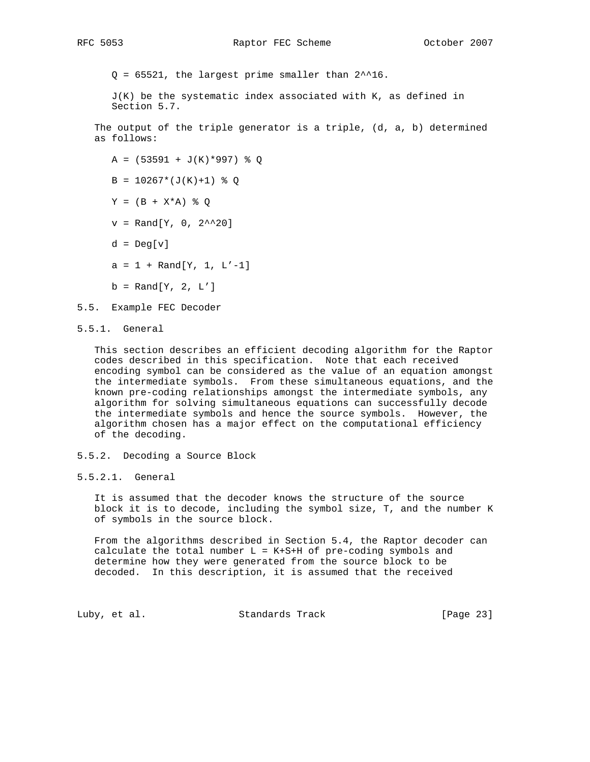$Q = 65521$ , the largest prime smaller than  $2^{\lambda}16$ .

 $J(K)$  be the systematic index associated with  $K$ , as defined in Section 5.7.

 The output of the triple generator is a triple, (d, a, b) determined as follows:

- $A = (53591 + J(K)*997)$  % Q
- $B = 10267*(J(K)+1)$  % Q
- $Y = (B + X^*A)$  % Q
- $v = \text{Rand}[Y, 0, 2^{\texttt{A}}20]$
- $d = Deg[v]$
- $a = 1 + Rand[Y, 1, L'-1]$
- $b = Rand[Y, 2, L']$
- 5.5. Example FEC Decoder
- 5.5.1. General

 This section describes an efficient decoding algorithm for the Raptor codes described in this specification. Note that each received encoding symbol can be considered as the value of an equation amongst the intermediate symbols. From these simultaneous equations, and the known pre-coding relationships amongst the intermediate symbols, any algorithm for solving simultaneous equations can successfully decode the intermediate symbols and hence the source symbols. However, the algorithm chosen has a major effect on the computational efficiency of the decoding.

- 5.5.2. Decoding a Source Block
- 5.5.2.1. General

 It is assumed that the decoder knows the structure of the source block it is to decode, including the symbol size, T, and the number K of symbols in the source block.

 From the algorithms described in Section 5.4, the Raptor decoder can calculate the total number  $L = K + S + H$  of pre-coding symbols and determine how they were generated from the source block to be decoded. In this description, it is assumed that the received

Luby, et al. Standards Track [Page 23]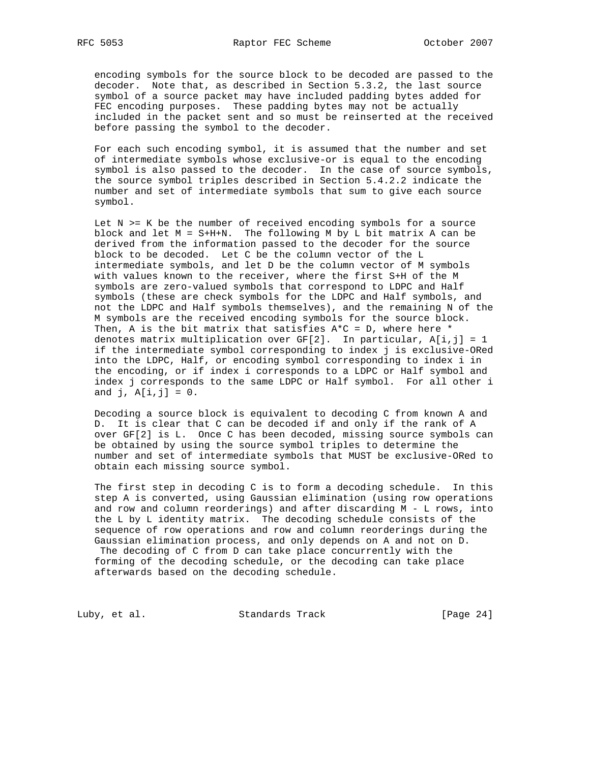encoding symbols for the source block to be decoded are passed to the decoder. Note that, as described in Section 5.3.2, the last source symbol of a source packet may have included padding bytes added for FEC encoding purposes. These padding bytes may not be actually included in the packet sent and so must be reinserted at the received before passing the symbol to the decoder.

 For each such encoding symbol, it is assumed that the number and set of intermediate symbols whose exclusive-or is equal to the encoding symbol is also passed to the decoder. In the case of source symbols, the source symbol triples described in Section 5.4.2.2 indicate the number and set of intermediate symbols that sum to give each source symbol.

Let  $N$  >=  $K$  be the number of received encoding symbols for a source block and let M = S+H+N. The following M by L bit matrix A can be derived from the information passed to the decoder for the source block to be decoded. Let C be the column vector of the L intermediate symbols, and let D be the column vector of M symbols with values known to the receiver, where the first S+H of the M symbols are zero-valued symbols that correspond to LDPC and Half symbols (these are check symbols for the LDPC and Half symbols, and not the LDPC and Half symbols themselves), and the remaining N of the M symbols are the received encoding symbols for the source block. Then, A is the bit matrix that satisfies  $A*C = D$ , where here  $*$  denotes matrix multiplication over GF[2]. In particular, A[i,j] = 1 if the intermediate symbol corresponding to index j is exclusive-ORed into the LDPC, Half, or encoding symbol corresponding to index i in the encoding, or if index i corresponds to a LDPC or Half symbol and index j corresponds to the same LDPC or Half symbol. For all other i and  $j$ ,  $A[i, j] = 0$ .

 Decoding a source block is equivalent to decoding C from known A and D. It is clear that C can be decoded if and only if the rank of A over GF[2] is L. Once C has been decoded, missing source symbols can be obtained by using the source symbol triples to determine the number and set of intermediate symbols that MUST be exclusive-ORed to obtain each missing source symbol.

 The first step in decoding C is to form a decoding schedule. In this step A is converted, using Gaussian elimination (using row operations and row and column reorderings) and after discarding M - L rows, into the L by L identity matrix. The decoding schedule consists of the sequence of row operations and row and column reorderings during the Gaussian elimination process, and only depends on A and not on D. The decoding of C from D can take place concurrently with the forming of the decoding schedule, or the decoding can take place afterwards based on the decoding schedule.

Luby, et al. Standards Track [Page 24]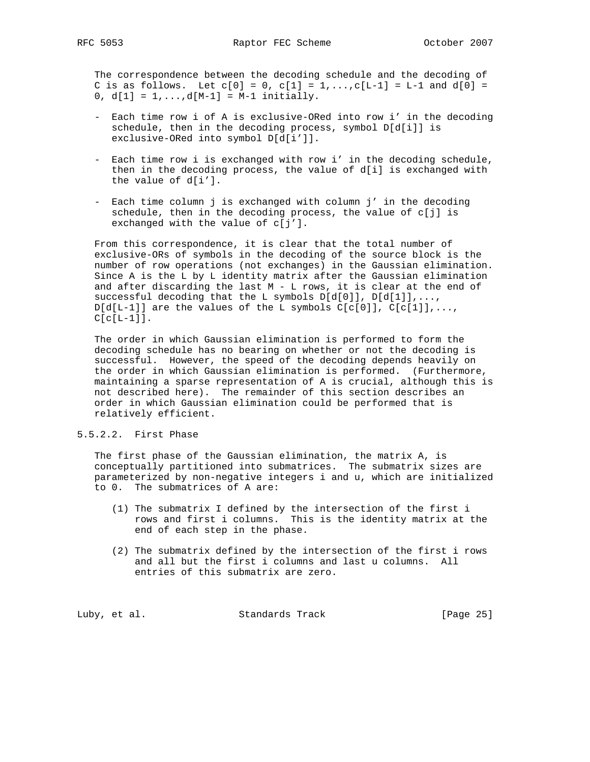The correspondence between the decoding schedule and the decoding of C is as follows. Let  $c[0] = 0$ ,  $c[1] = 1, \ldots, c[L-1] = L-1$  and  $d[0] =$ 0,  $d[1] = 1,...,d[M-1] = M-1$  initially.

- Each time row i of A is exclusive-ORed into row i' in the decoding schedule, then in the decoding process, symbol D[d[i]] is exclusive-ORed into symbol D[d[i']].
- Each time row i is exchanged with row i' in the decoding schedule, then in the decoding process, the value of d[i] is exchanged with the value of d[i'].
- Each time column j is exchanged with column j' in the decoding schedule, then in the decoding process, the value of  $c[j]$  is exchanged with the value of c[j'].

 From this correspondence, it is clear that the total number of exclusive-ORs of symbols in the decoding of the source block is the number of row operations (not exchanges) in the Gaussian elimination. Since A is the L by L identity matrix after the Gaussian elimination and after discarding the last  $M - L$  rows, it is clear at the end of successful decoding that the L symbols  $D[d[0]]$ ,  $D[d[1]]$ , ...,  $D[d[L-1]]$  are the values of the L symbols  $C[c[0]], C[c[1]], \ldots,$  $C[c[L-1]]$ .

 The order in which Gaussian elimination is performed to form the decoding schedule has no bearing on whether or not the decoding is successful. However, the speed of the decoding depends heavily on the order in which Gaussian elimination is performed. (Furthermore, maintaining a sparse representation of A is crucial, although this is not described here). The remainder of this section describes an order in which Gaussian elimination could be performed that is relatively efficient.

# 5.5.2.2. First Phase

 The first phase of the Gaussian elimination, the matrix A, is conceptually partitioned into submatrices. The submatrix sizes are parameterized by non-negative integers i and u, which are initialized to 0. The submatrices of A are:

- (1) The submatrix I defined by the intersection of the first i rows and first i columns. This is the identity matrix at the end of each step in the phase.
- (2) The submatrix defined by the intersection of the first i rows and all but the first i columns and last u columns. All entries of this submatrix are zero.

Luby, et al. Standards Track [Page 25]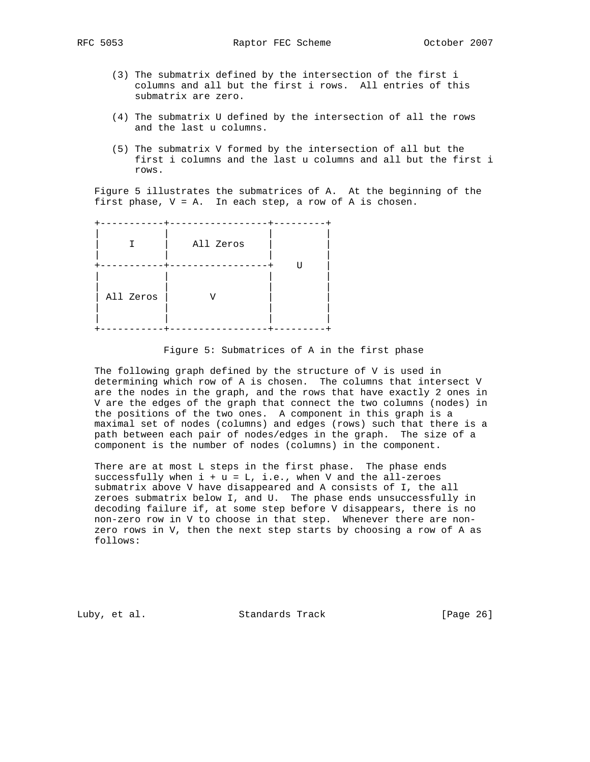- (3) The submatrix defined by the intersection of the first i columns and all but the first i rows. All entries of this submatrix are zero.
- (4) The submatrix U defined by the intersection of all the rows and the last u columns.
- (5) The submatrix V formed by the intersection of all but the first i columns and the last u columns and all but the first i rows.

 Figure 5 illustrates the submatrices of A. At the beginning of the first phase,  $V = A$ . In each step, a row of A is chosen.

 +-----------+-----------------+---------+ | | | | | I | All Zeros | | | | | | .<br>+-----------+------------------+ U | | | | | | | | | | All Zeros | V | | | | | | | | | | +-----------+-----------------+---------+

## Figure 5: Submatrices of A in the first phase

 The following graph defined by the structure of V is used in determining which row of A is chosen. The columns that intersect V are the nodes in the graph, and the rows that have exactly 2 ones in V are the edges of the graph that connect the two columns (nodes) in the positions of the two ones. A component in this graph is a maximal set of nodes (columns) and edges (rows) such that there is a path between each pair of nodes/edges in the graph. The size of a component is the number of nodes (columns) in the component.

There are at most L steps in the first phase. The phase ends successfully when  $i + u = L$ , i.e., when V and the all-zeroes submatrix above V have disappeared and A consists of I, the all zeroes submatrix below I, and U. The phase ends unsuccessfully in decoding failure if, at some step before V disappears, there is no non-zero row in V to choose in that step. Whenever there are non zero rows in V, then the next step starts by choosing a row of A as follows:

Luby, et al. Standards Track [Page 26]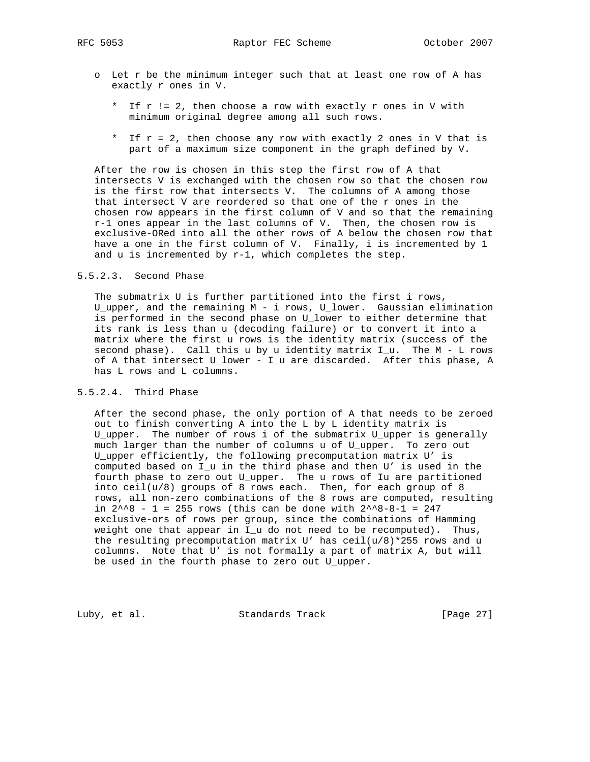RFC 5053 Raptor FEC Scheme Cotober 2007

- o Let r be the minimum integer such that at least one row of A has exactly r ones in V.
	- \* If r != 2, then choose a row with exactly r ones in V with minimum original degree among all such rows.
	- \* If r = 2, then choose any row with exactly 2 ones in V that is part of a maximum size component in the graph defined by V.

 After the row is chosen in this step the first row of A that intersects V is exchanged with the chosen row so that the chosen row is the first row that intersects V. The columns of A among those that intersect V are reordered so that one of the r ones in the chosen row appears in the first column of V and so that the remaining r-1 ones appear in the last columns of V. Then, the chosen row is exclusive-ORed into all the other rows of A below the chosen row that have a one in the first column of V. Finally, i is incremented by 1 and u is incremented by r-1, which completes the step.

# 5.5.2.3. Second Phase

 The submatrix U is further partitioned into the first i rows, U\_upper, and the remaining M - i rows, U\_lower. Gaussian elimination is performed in the second phase on U\_lower to either determine that its rank is less than u (decoding failure) or to convert it into a matrix where the first u rows is the identity matrix (success of the second phase). Call this u by u identity matrix  $I_u$ . The  $M - L$  rows of A that intersect U\_lower - I\_u are discarded. After this phase, A has L rows and L columns.

# 5.5.2.4. Third Phase

 After the second phase, the only portion of A that needs to be zeroed out to finish converting A into the L by L identity matrix is U\_upper. The number of rows i of the submatrix U\_upper is generally much larger than the number of columns u of U\_upper. To zero out U\_upper efficiently, the following precomputation matrix U' is computed based on I\_u in the third phase and then U' is used in the fourth phase to zero out U\_upper. The u rows of Iu are partitioned into ceil(u/8) groups of 8 rows each. Then, for each group of 8 rows, all non-zero combinations of the 8 rows are computed, resulting in  $2^{\wedge}8$  - 1 = 255 rows (this can be done with  $2^{\wedge}8-8-1$  = 247 exclusive-ors of rows per group, since the combinations of Hamming weight one that appear in I\_u do not need to be recomputed). Thus, the resulting precomputation matrix U' has  $ceil(u/8)*255$  rows and u columns. Note that U' is not formally a part of matrix A, but will be used in the fourth phase to zero out U\_upper.

Luby, et al. Standards Track [Page 27]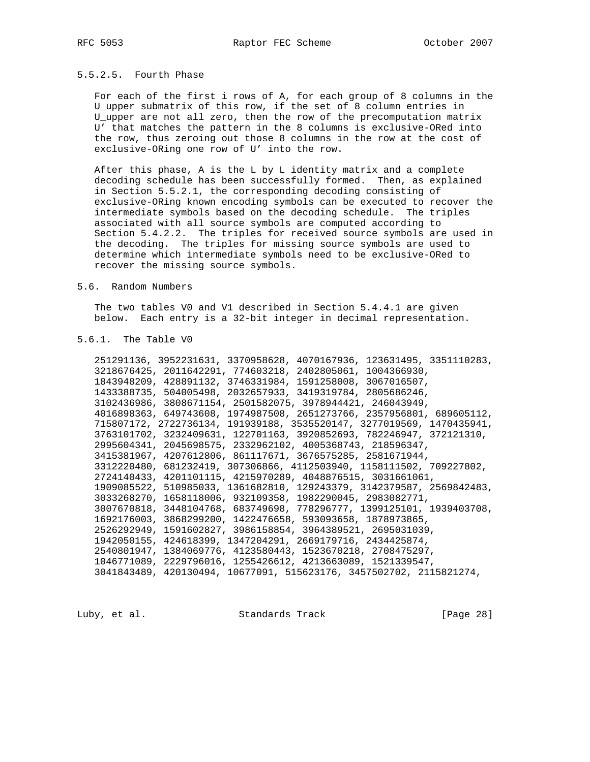# 5.5.2.5. Fourth Phase

 For each of the first i rows of A, for each group of 8 columns in the U\_upper submatrix of this row, if the set of 8 column entries in U\_upper are not all zero, then the row of the precomputation matrix U' that matches the pattern in the 8 columns is exclusive-ORed into the row, thus zeroing out those 8 columns in the row at the cost of exclusive-ORing one row of U' into the row.

 After this phase, A is the L by L identity matrix and a complete decoding schedule has been successfully formed. Then, as explained in Section 5.5.2.1, the corresponding decoding consisting of exclusive-ORing known encoding symbols can be executed to recover the intermediate symbols based on the decoding schedule. The triples associated with all source symbols are computed according to Section 5.4.2.2. The triples for received source symbols are used in the decoding. The triples for missing source symbols are used to determine which intermediate symbols need to be exclusive-ORed to recover the missing source symbols.

#### 5.6. Random Numbers

 The two tables V0 and V1 described in Section 5.4.4.1 are given below. Each entry is a 32-bit integer in decimal representation.

#### 5.6.1. The Table V0

 251291136, 3952231631, 3370958628, 4070167936, 123631495, 3351110283, 3218676425, 2011642291, 774603218, 2402805061, 1004366930, 1843948209, 428891132, 3746331984, 1591258008, 3067016507, 1433388735, 504005498, 2032657933, 3419319784, 2805686246, 3102436986, 3808671154, 2501582075, 3978944421, 246043949, 4016898363, 649743608, 1974987508, 2651273766, 2357956801, 689605112, 715807172, 2722736134, 191939188, 3535520147, 3277019569, 1470435941, 3763101702, 3232409631, 122701163, 3920852693, 782246947, 372121310, 2995604341, 2045698575, 2332962102, 4005368743, 218596347, 3415381967, 4207612806, 861117671, 3676575285, 2581671944, 3312220480, 681232419, 307306866, 4112503940, 1158111502, 709227802, 2724140433, 4201101115, 4215970289, 4048876515, 3031661061, 1909085522, 510985033, 1361682810, 129243379, 3142379587, 2569842483, 3033268270, 1658118006, 932109358, 1982290045, 2983082771, 3007670818, 3448104768, 683749698, 778296777, 1399125101, 1939403708, 1692176003, 3868299200, 1422476658, 593093658, 1878973865, 2526292949, 1591602827, 3986158854, 3964389521, 2695031039, 1942050155, 424618399, 1347204291, 2669179716, 2434425874, 2540801947, 1384069776, 4123580443, 1523670218, 2708475297, 1046771089, 2229796016, 1255426612, 4213663089, 1521339547, 3041843489, 420130494, 10677091, 515623176, 3457502702, 2115821274,

Luby, et al. Standards Track [Page 28]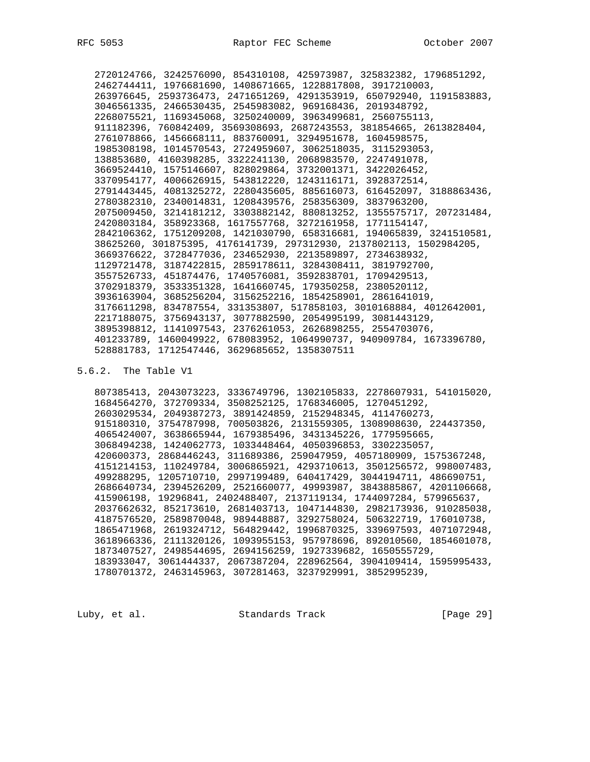2720124766, 3242576090, 854310108, 425973987, 325832382, 1796851292, 2462744411, 1976681690, 1408671665, 1228817808, 3917210003, 263976645, 2593736473, 2471651269, 4291353919, 650792940, 1191583883, 3046561335, 2466530435, 2545983082, 969168436, 2019348792, 2268075521, 1169345068, 3250240009, 3963499681, 2560755113, 911182396, 760842409, 3569308693, 2687243553, 381854665, 2613828404, 2761078866, 1456668111, 883760091, 3294951678, 1604598575, 1985308198, 1014570543, 2724959607, 3062518035, 3115293053, 138853680, 4160398285, 3322241130, 2068983570, 2247491078, 3669524410, 1575146607, 828029864, 3732001371, 3422026452, 3370954177, 4006626915, 543812220, 1243116171, 3928372514, 2791443445, 4081325272, 2280435605, 885616073, 616452097, 3188863436, 2780382310, 2340014831, 1208439576, 258356309, 3837963200, 2075009450, 3214181212, 3303882142, 880813252, 1355575717, 207231484, 2420803184, 358923368, 1617557768, 3272161958, 1771154147, 2842106362, 1751209208, 1421030790, 658316681, 194065839, 3241510581, 38625260, 301875395, 4176141739, 297312930, 2137802113, 1502984205, 3669376622, 3728477036, 234652930, 2213589897, 2734638932, 1129721478, 3187422815, 2859178611, 3284308411, 3819792700, 3557526733, 451874476, 1740576081, 3592838701, 1709429513, 3702918379, 3533351328, 1641660745, 179350258, 2380520112, 3936163904, 3685256204, 3156252216, 1854258901, 2861641019, 3176611298, 834787554, 331353807, 517858103, 3010168884, 4012642001, 2217188075, 3756943137, 3077882590, 2054995199, 3081443129, 3895398812, 1141097543, 2376261053, 2626898255, 2554703076, 401233789, 1460049922, 678083952, 1064990737, 940909784, 1673396780, 528881783, 1712547446, 3629685652, 1358307511

5.6.2. The Table V1

 807385413, 2043073223, 3336749796, 1302105833, 2278607931, 541015020, 1684564270, 372709334, 3508252125, 1768346005, 1270451292, 2603029534, 2049387273, 3891424859, 2152948345, 4114760273, 915180310, 3754787998, 700503826, 2131559305, 1308908630, 224437350, 4065424007, 3638665944, 1679385496, 3431345226, 1779595665, 3068494238, 1424062773, 1033448464, 4050396853, 3302235057, 420600373, 2868446243, 311689386, 259047959, 4057180909, 1575367248, 4151214153, 110249784, 3006865921, 4293710613, 3501256572, 998007483, 499288295, 1205710710, 2997199489, 640417429, 3044194711, 486690751, 2686640734, 2394526209, 2521660077, 49993987, 3843885867, 4201106668, 415906198, 19296841, 2402488407, 2137119134, 1744097284, 579965637, 2037662632, 852173610, 2681403713, 1047144830, 2982173936, 910285038, 4187576520, 2589870048, 989448887, 3292758024, 506322719, 176010738, 1865471968, 2619324712, 564829442, 1996870325, 339697593, 4071072948, 3618966336, 2111320126, 1093955153, 957978696, 892010560, 1854601078, 1873407527, 2498544695, 2694156259, 1927339682, 1650555729, 183933047, 3061444337, 2067387204, 228962564, 3904109414, 1595995433, 1780701372, 2463145963, 307281463, 3237929991, 3852995239,

Luby, et al. Standards Track [Page 29]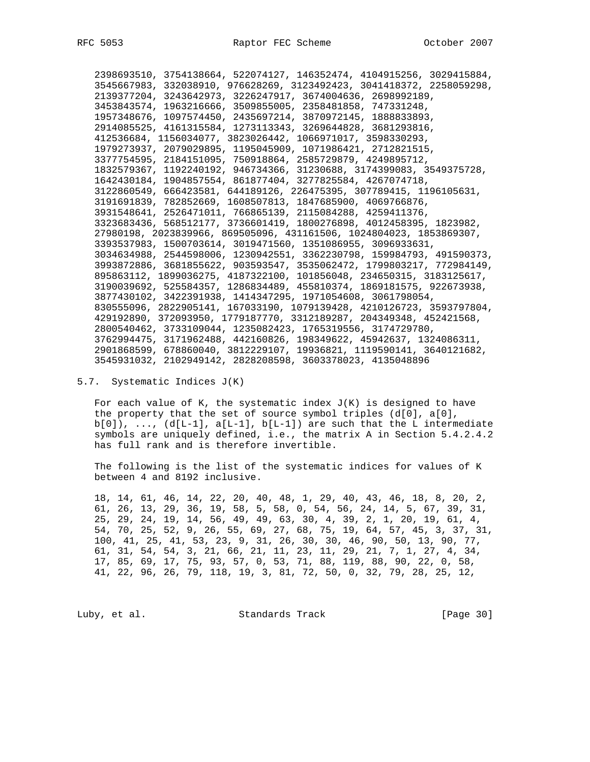2398693510, 3754138664, 522074127, 146352474, 4104915256, 3029415884, 3545667983, 332038910, 976628269, 3123492423, 3041418372, 2258059298, 2139377204, 3243642973, 3226247917, 3674004636, 2698992189, 3453843574, 1963216666, 3509855005, 2358481858, 747331248, 1957348676, 1097574450, 2435697214, 3870972145, 1888833893, 2914085525, 4161315584, 1273113343, 3269644828, 3681293816, 412536684, 1156034077, 3823026442, 1066971017, 3598330293, 1979273937, 2079029895, 1195045909, 1071986421, 2712821515, 3377754595, 2184151095, 750918864, 2585729879, 4249895712, 1832579367, 1192240192, 946734366, 31230688, 3174399083, 3549375728, 1642430184, 1904857554, 861877404, 3277825584, 4267074718, 3122860549, 666423581, 644189126, 226475395, 307789415, 1196105631, 3191691839, 782852669, 1608507813, 1847685900, 4069766876, 3931548641, 2526471011, 766865139, 2115084288, 4259411376, 3323683436, 568512177, 3736601419, 1800276898, 4012458395, 1823982, 27980198, 2023839966, 869505096, 431161506, 1024804023, 1853869307, 3393537983, 1500703614, 3019471560, 1351086955, 3096933631, 3034634988, 2544598006, 1230942551, 3362230798, 159984793, 491590373, 3993872886, 3681855622, 903593547, 3535062472, 1799803217, 772984149, 895863112, 1899036275, 4187322100, 101856048, 234650315, 3183125617, 3190039692, 525584357, 1286834489, 455810374, 1869181575, 922673938, 3877430102, 3422391938, 1414347295, 1971054608, 3061798054, 830555096, 2822905141, 167033190, 1079139428, 4210126723, 3593797804, 429192890, 372093950, 1779187770, 3312189287, 204349348, 452421568, 2800540462, 3733109044, 1235082423, 1765319556, 3174729780, 3762994475, 3171962488, 442160826, 198349622, 45942637, 1324086311, 2901868599, 678860040, 3812229107, 19936821, 1119590141, 3640121682, 3545931032, 2102949142, 2828208598, 3603378023, 4135048896

# 5.7. Systematic Indices J(K)

For each value of K, the systematic index  $J(K)$  is designed to have the property that the set of source symbol triples  $(d[0], d[0],$  $b[0]$ ), ...,  $(d[L-1], a[L-1], b[L-1])$  are such that the L intermediate symbols are uniquely defined, i.e., the matrix A in Section 5.4.2.4.2 has full rank and is therefore invertible.

 The following is the list of the systematic indices for values of K between 4 and 8192 inclusive.

 18, 14, 61, 46, 14, 22, 20, 40, 48, 1, 29, 40, 43, 46, 18, 8, 20, 2, 61, 26, 13, 29, 36, 19, 58, 5, 58, 0, 54, 56, 24, 14, 5, 67, 39, 31, 25, 29, 24, 19, 14, 56, 49, 49, 63, 30, 4, 39, 2, 1, 20, 19, 61, 4, 54, 70, 25, 52, 9, 26, 55, 69, 27, 68, 75, 19, 64, 57, 45, 3, 37, 31, 100, 41, 25, 41, 53, 23, 9, 31, 26, 30, 30, 46, 90, 50, 13, 90, 77, 61, 31, 54, 54, 3, 21, 66, 21, 11, 23, 11, 29, 21, 7, 1, 27, 4, 34, 17, 85, 69, 17, 75, 93, 57, 0, 53, 71, 88, 119, 88, 90, 22, 0, 58, 41, 22, 96, 26, 79, 118, 19, 3, 81, 72, 50, 0, 32, 79, 28, 25, 12,

Luby, et al. Standards Track [Page 30]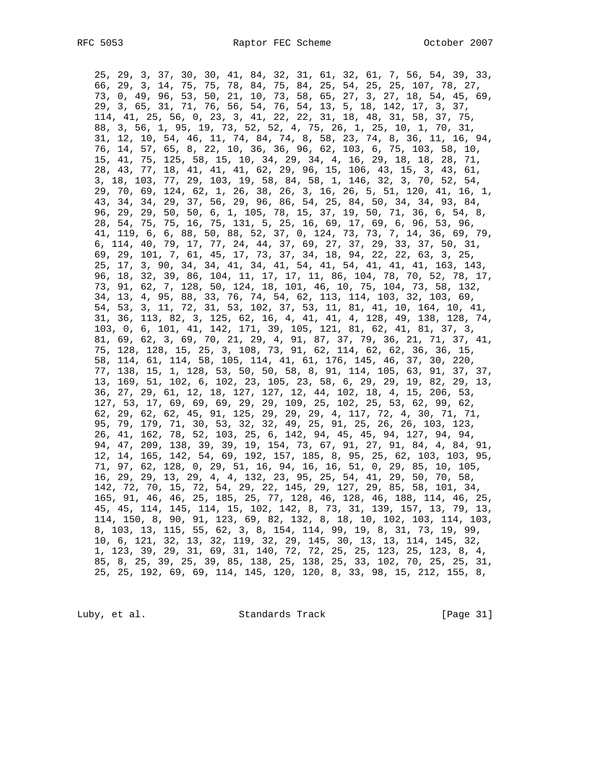25, 29, 3, 37, 30, 30, 41, 84, 32, 31, 61, 32, 61, 7, 56, 54, 39, 33, 66, 29, 3, 14, 75, 75, 78, 84, 75, 84, 25, 54, 25, 25, 107, 78, 27, 73, 0, 49, 96, 53, 50, 21, 10, 73, 58, 65, 27, 3, 27, 18, 54, 45, 69, 29, 3, 65, 31, 71, 76, 56, 54, 76, 54, 13, 5, 18, 142, 17, 3, 37, 114, 41, 25, 56, 0, 23, 3, 41, 22, 22, 31, 18, 48, 31, 58, 37, 75, 88, 3, 56, 1, 95, 19, 73, 52, 52, 4, 75, 26, 1, 25, 10, 1, 70, 31, 31, 12, 10, 54, 46, 11, 74, 84, 74, 8, 58, 23, 74, 8, 36, 11, 16, 94, 76, 14, 57, 65, 8, 22, 10, 36, 36, 96, 62, 103, 6, 75, 103, 58, 10, 15, 41, 75, 125, 58, 15, 10, 34, 29, 34, 4, 16, 29, 18, 18, 28, 71, 28, 43, 77, 18, 41, 41, 41, 62, 29, 96, 15, 106, 43, 15, 3, 43, 61, 3, 18, 103, 77, 29, 103, 19, 58, 84, 58, 1, 146, 32, 3, 70, 52, 54, 29, 70, 69, 124, 62, 1, 26, 38, 26, 3, 16, 26, 5, 51, 120, 41, 16, 1, 43, 34, 34, 29, 37, 56, 29, 96, 86, 54, 25, 84, 50, 34, 34, 93, 84, 96, 29, 29, 50, 50, 6, 1, 105, 78, 15, 37, 19, 50, 71, 36, 6, 54, 8, 28, 54, 75, 75, 16, 75, 131, 5, 25, 16, 69, 17, 69, 6, 96, 53, 96, 41, 119, 6, 6, 88, 50, 88, 52, 37, 0, 124, 73, 73, 7, 14, 36, 69, 79, 6, 114, 40, 79, 17, 77, 24, 44, 37, 69, 27, 37, 29, 33, 37, 50, 31, 69, 29, 101, 7, 61, 45, 17, 73, 37, 34, 18, 94, 22, 22, 63, 3, 25, 25, 17, 3, 90, 34, 34, 41, 34, 41, 54, 41, 54, 41, 41, 41, 163, 143, 96, 18, 32, 39, 86, 104, 11, 17, 17, 11, 86, 104, 78, 70, 52, 78, 17, 73, 91, 62, 7, 128, 50, 124, 18, 101, 46, 10, 75, 104, 73, 58, 132, 34, 13, 4, 95, 88, 33, 76, 74, 54, 62, 113, 114, 103, 32, 103, 69, 54, 53, 3, 11, 72, 31, 53, 102, 37, 53, 11, 81, 41, 10, 164, 10, 41, 31, 36, 113, 82, 3, 125, 62, 16, 4, 41, 41, 4, 128, 49, 138, 128, 74, 103, 0, 6, 101, 41, 142, 171, 39, 105, 121, 81, 62, 41, 81, 37, 3, 81, 69, 62, 3, 69, 70, 21, 29, 4, 91, 87, 37, 79, 36, 21, 71, 37, 41, 75, 128, 128, 15, 25, 3, 108, 73, 91, 62, 114, 62, 62, 36, 36, 15, 58, 114, 61, 114, 58, 105, 114, 41, 61, 176, 145, 46, 37, 30, 220, 77, 138, 15, 1, 128, 53, 50, 50, 58, 8, 91, 114, 105, 63, 91, 37, 37, 13, 169, 51, 102, 6, 102, 23, 105, 23, 58, 6, 29, 29, 19, 82, 29, 13, 36, 27, 29, 61, 12, 18, 127, 127, 12, 44, 102, 18, 4, 15, 206, 53, 127, 53, 17, 69, 69, 69, 29, 29, 109, 25, 102, 25, 53, 62, 99, 62, 62, 29, 62, 62, 45, 91, 125, 29, 29, 29, 4, 117, 72, 4, 30, 71, 71, 95, 79, 179, 71, 30, 53, 32, 32, 49, 25, 91, 25, 26, 26, 103, 123, 26, 41, 162, 78, 52, 103, 25, 6, 142, 94, 45, 45, 94, 127, 94, 94, 94, 47, 209, 138, 39, 39, 19, 154, 73, 67, 91, 27, 91, 84, 4, 84, 91, 12, 14, 165, 142, 54, 69, 192, 157, 185, 8, 95, 25, 62, 103, 103, 95, 71, 97, 62, 128, 0, 29, 51, 16, 94, 16, 16, 51, 0, 29, 85, 10, 105, 16, 29, 29, 13, 29, 4, 4, 132, 23, 95, 25, 54, 41, 29, 50, 70, 58, 142, 72, 70, 15, 72, 54, 29, 22, 145, 29, 127, 29, 85, 58, 101, 34, 165, 91, 46, 46, 25, 185, 25, 77, 128, 46, 128, 46, 188, 114, 46, 25, 45, 45, 114, 145, 114, 15, 102, 142, 8, 73, 31, 139, 157, 13, 79, 13, 114, 150, 8, 90, 91, 123, 69, 82, 132, 8, 18, 10, 102, 103, 114, 103, 8, 103, 13, 115, 55, 62, 3, 8, 154, 114, 99, 19, 8, 31, 73, 19, 99, 10, 6, 121, 32, 13, 32, 119, 32, 29, 145, 30, 13, 13, 114, 145, 32, 1, 123, 39, 29, 31, 69, 31, 140, 72, 72, 25, 25, 123, 25, 123, 8, 4, 85, 8, 25, 39, 25, 39, 85, 138, 25, 138, 25, 33, 102, 70, 25, 25, 31, 25, 25, 192, 69, 69, 114, 145, 120, 120, 8, 33, 98, 15, 212, 155, 8,

Luby, et al. Standards Track [Page 31]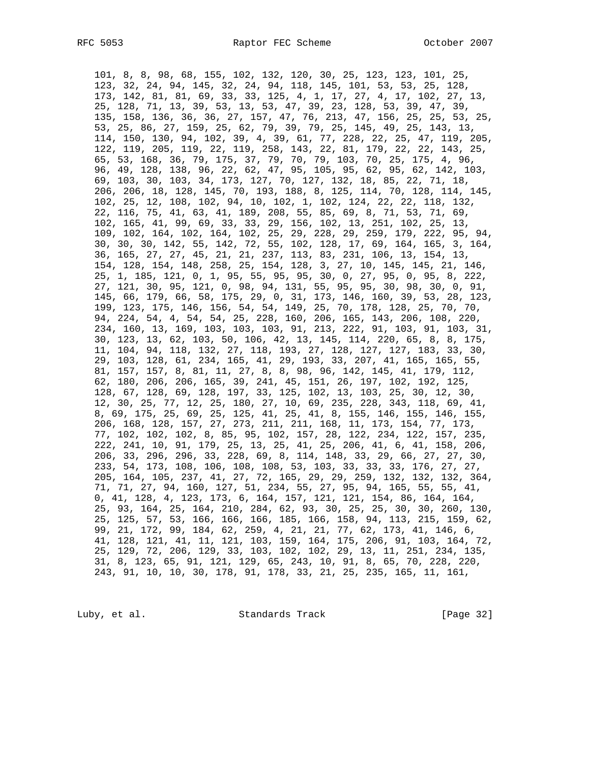101, 8, 8, 98, 68, 155, 102, 132, 120, 30, 25, 123, 123, 101, 25, 123, 32, 24, 94, 145, 32, 24, 94, 118, 145, 101, 53, 53, 25, 128, 173, 142, 81, 81, 69, 33, 33, 125, 4, 1, 17, 27, 4, 17, 102, 27, 13, 25, 128, 71, 13, 39, 53, 13, 53, 47, 39, 23, 128, 53, 39, 47, 39, 135, 158, 136, 36, 36, 27, 157, 47, 76, 213, 47, 156, 25, 25, 53, 25, 53, 25, 86, 27, 159, 25, 62, 79, 39, 79, 25, 145, 49, 25, 143, 13, 114, 150, 130, 94, 102, 39, 4, 39, 61, 77, 228, 22, 25, 47, 119, 205, 122, 119, 205, 119, 22, 119, 258, 143, 22, 81, 179, 22, 22, 143, 25, 65, 53, 168, 36, 79, 175, 37, 79, 70, 79, 103, 70, 25, 175, 4, 96, 96, 49, 128, 138, 96, 22, 62, 47, 95, 105, 95, 62, 95, 62, 142, 103, 69, 103, 30, 103, 34, 173, 127, 70, 127, 132, 18, 85, 22, 71, 18, 206, 206, 18, 128, 145, 70, 193, 188, 8, 125, 114, 70, 128, 114, 145, 102, 25, 12, 108, 102, 94, 10, 102, 1, 102, 124, 22, 22, 118, 132, 22, 116, 75, 41, 63, 41, 189, 208, 55, 85, 69, 8, 71, 53, 71, 69, 102, 165, 41, 99, 69, 33, 33, 29, 156, 102, 13, 251, 102, 25, 13, 109, 102, 164, 102, 164, 102, 25, 29, 228, 29, 259, 179, 222, 95, 94, 30, 30, 30, 142, 55, 142, 72, 55, 102, 128, 17, 69, 164, 165, 3, 164, 36, 165, 27, 27, 45, 21, 21, 237, 113, 83, 231, 106, 13, 154, 13, 154, 128, 154, 148, 258, 25, 154, 128, 3, 27, 10, 145, 145, 21, 146, 25, 1, 185, 121, 0, 1, 95, 55, 95, 95, 30, 0, 27, 95, 0, 95, 8, 222, 27, 121, 30, 95, 121, 0, 98, 94, 131, 55, 95, 95, 30, 98, 30, 0, 91, 145, 66, 179, 66, 58, 175, 29, 0, 31, 173, 146, 160, 39, 53, 28, 123, 199, 123, 175, 146, 156, 54, 54, 149, 25, 70, 178, 128, 25, 70, 70, 94, 224, 54, 4, 54, 54, 25, 228, 160, 206, 165, 143, 206, 108, 220, 234, 160, 13, 169, 103, 103, 103, 91, 213, 222, 91, 103, 91, 103, 31, 30, 123, 13, 62, 103, 50, 106, 42, 13, 145, 114, 220, 65, 8, 8, 175, 11, 104, 94, 118, 132, 27, 118, 193, 27, 128, 127, 127, 183, 33, 30, 29, 103, 128, 61, 234, 165, 41, 29, 193, 33, 207, 41, 165, 165, 55, 81, 157, 157, 8, 81, 11, 27, 8, 8, 98, 96, 142, 145, 41, 179, 112, 62, 180, 206, 206, 165, 39, 241, 45, 151, 26, 197, 102, 192, 125, 128, 67, 128, 69, 128, 197, 33, 125, 102, 13, 103, 25, 30, 12, 30, 12, 30, 25, 77, 12, 25, 180, 27, 10, 69, 235, 228, 343, 118, 69, 41, 8, 69, 175, 25, 69, 25, 125, 41, 25, 41, 8, 155, 146, 155, 146, 155, 206, 168, 128, 157, 27, 273, 211, 211, 168, 11, 173, 154, 77, 173, 77, 102, 102, 102, 8, 85, 95, 102, 157, 28, 122, 234, 122, 157, 235, 222, 241, 10, 91, 179, 25, 13, 25, 41, 25, 206, 41, 6, 41, 158, 206, 206, 33, 296, 296, 33, 228, 69, 8, 114, 148, 33, 29, 66, 27, 27, 30, 233, 54, 173, 108, 106, 108, 108, 53, 103, 33, 33, 33, 176, 27, 27, 205, 164, 105, 237, 41, 27, 72, 165, 29, 29, 259, 132, 132, 132, 364, 71, 71, 27, 94, 160, 127, 51, 234, 55, 27, 95, 94, 165, 55, 55, 41, 0, 41, 128, 4, 123, 173, 6, 164, 157, 121, 121, 154, 86, 164, 164, 25, 93, 164, 25, 164, 210, 284, 62, 93, 30, 25, 25, 30, 30, 260, 130, 25, 125, 57, 53, 166, 166, 166, 185, 166, 158, 94, 113, 215, 159, 62, 99, 21, 172, 99, 184, 62, 259, 4, 21, 21, 77, 62, 173, 41, 146, 6, 41, 128, 121, 41, 11, 121, 103, 159, 164, 175, 206, 91, 103, 164, 72, 25, 129, 72, 206, 129, 33, 103, 102, 102, 29, 13, 11, 251, 234, 135, 31, 8, 123, 65, 91, 121, 129, 65, 243, 10, 91, 8, 65, 70, 228, 220, 243, 91, 10, 10, 30, 178, 91, 178, 33, 21, 25, 235, 165, 11, 161,

Luby, et al. Standards Track [Page 32]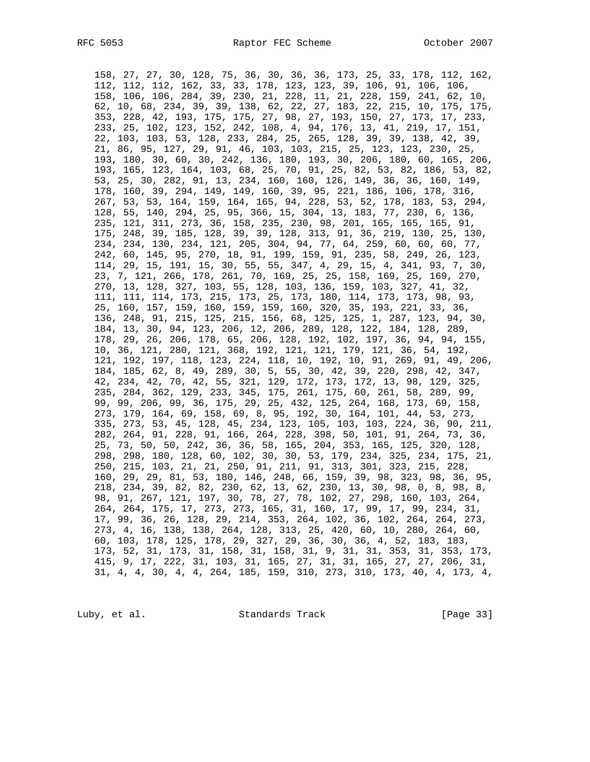158, 27, 27, 30, 128, 75, 36, 30, 36, 36, 173, 25, 33, 178, 112, 162, 112, 112, 112, 162, 33, 33, 178, 123, 123, 39, 106, 91, 106, 106, 158, 106, 106, 284, 39, 230, 21, 228, 11, 21, 228, 159, 241, 62, 10, 62, 10, 68, 234, 39, 39, 138, 62, 22, 27, 183, 22, 215, 10, 175, 175, 353, 228, 42, 193, 175, 175, 27, 98, 27, 193, 150, 27, 173, 17, 233, 233, 25, 102, 123, 152, 242, 108, 4, 94, 176, 13, 41, 219, 17, 151, 22, 103, 103, 53, 128, 233, 284, 25, 265, 128, 39, 39, 138, 42, 39, 21, 86, 95, 127, 29, 91, 46, 103, 103, 215, 25, 123, 123, 230, 25, 193, 180, 30, 60, 30, 242, 136, 180, 193, 30, 206, 180, 60, 165, 206, 193, 165, 123, 164, 103, 68, 25, 70, 91, 25, 82, 53, 82, 186, 53, 82, 53, 25, 30, 282, 91, 13, 234, 160, 160, 126, 149, 36, 36, 160, 149, 178, 160, 39, 294, 149, 149, 160, 39, 95, 221, 186, 106, 178, 316, 267, 53, 53, 164, 159, 164, 165, 94, 228, 53, 52, 178, 183, 53, 294, 128, 55, 140, 294, 25, 95, 366, 15, 304, 13, 183, 77, 230, 6, 136, 235, 121, 311, 273, 36, 158, 235, 230, 98, 201, 165, 165, 165, 91, 175, 248, 39, 185, 128, 39, 39, 128, 313, 91, 36, 219, 130, 25, 130, 234, 234, 130, 234, 121, 205, 304, 94, 77, 64, 259, 60, 60, 60, 77, 242, 60, 145, 95, 270, 18, 91, 199, 159, 91, 235, 58, 249, 26, 123, 114, 29, 15, 191, 15, 30, 55, 55, 347, 4, 29, 15, 4, 341, 93, 7, 30, 23, 7, 121, 266, 178, 261, 70, 169, 25, 25, 158, 169, 25, 169, 270, 270, 13, 128, 327, 103, 55, 128, 103, 136, 159, 103, 327, 41, 32, 111, 111, 114, 173, 215, 173, 25, 173, 180, 114, 173, 173, 98, 93, 25, 160, 157, 159, 160, 159, 159, 160, 320, 35, 193, 221, 33, 36, 136, 248, 91, 215, 125, 215, 156, 68, 125, 125, 1, 287, 123, 94, 30, 184, 13, 30, 94, 123, 206, 12, 206, 289, 128, 122, 184, 128, 289, 178, 29, 26, 206, 178, 65, 206, 128, 192, 102, 197, 36, 94, 94, 155, 10, 36, 121, 280, 121, 368, 192, 121, 121, 179, 121, 36, 54, 192, 121, 192, 197, 118, 123, 224, 118, 10, 192, 10, 91, 269, 91, 49, 206, 184, 185, 62, 8, 49, 289, 30, 5, 55, 30, 42, 39, 220, 298, 42, 347, 42, 234, 42, 70, 42, 55, 321, 129, 172, 173, 172, 13, 98, 129, 325, 235, 284, 362, 129, 233, 345, 175, 261, 175, 60, 261, 58, 289, 99, 99, 99, 206, 99, 36, 175, 29, 25, 432, 125, 264, 168, 173, 69, 158, 273, 179, 164, 69, 158, 69, 8, 95, 192, 30, 164, 101, 44, 53, 273, 335, 273, 53, 45, 128, 45, 234, 123, 105, 103, 103, 224, 36, 90, 211, 282, 264, 91, 228, 91, 166, 264, 228, 398, 50, 101, 91, 264, 73, 36, 25, 73, 50, 50, 242, 36, 36, 58, 165, 204, 353, 165, 125, 320, 128, 298, 298, 180, 128, 60, 102, 30, 30, 53, 179, 234, 325, 234, 175, 21, 250, 215, 103, 21, 21, 250, 91, 211, 91, 313, 301, 323, 215, 228, 160, 29, 29, 81, 53, 180, 146, 248, 66, 159, 39, 98, 323, 98, 36, 95, 218, 234, 39, 82, 82, 230, 62, 13, 62, 230, 13, 30, 98, 0, 8, 98, 8, 98, 91, 267, 121, 197, 30, 78, 27, 78, 102, 27, 298, 160, 103, 264, 264, 264, 175, 17, 273, 273, 165, 31, 160, 17, 99, 17, 99, 234, 31, 17, 99, 36, 26, 128, 29, 214, 353, 264, 102, 36, 102, 264, 264, 273, 273, 4, 16, 138, 138, 264, 128, 313, 25, 420, 60, 10, 280, 264, 60, 60, 103, 178, 125, 178, 29, 327, 29, 36, 30, 36, 4, 52, 183, 183, 173, 52, 31, 173, 31, 158, 31, 158, 31, 9, 31, 31, 353, 31, 353, 173, 415, 9, 17, 222, 31, 103, 31, 165, 27, 31, 31, 165, 27, 27, 206, 31, 31, 4, 4, 30, 4, 4, 264, 185, 159, 310, 273, 310, 173, 40, 4, 173, 4,

Luby, et al. Standards Track [Page 33]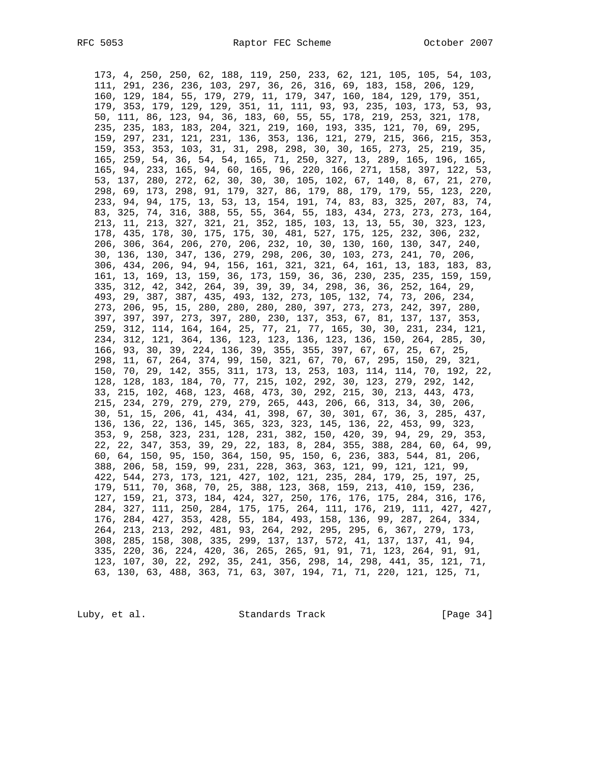173, 4, 250, 250, 62, 188, 119, 250, 233, 62, 121, 105, 105, 54, 103, 111, 291, 236, 236, 103, 297, 36, 26, 316, 69, 183, 158, 206, 129, 160, 129, 184, 55, 179, 279, 11, 179, 347, 160, 184, 129, 179, 351, 179, 353, 179, 129, 129, 351, 11, 111, 93, 93, 235, 103, 173, 53, 93, 50, 111, 86, 123, 94, 36, 183, 60, 55, 55, 178, 219, 253, 321, 178, 235, 235, 183, 183, 204, 321, 219, 160, 193, 335, 121, 70, 69, 295, 159, 297, 231, 121, 231, 136, 353, 136, 121, 279, 215, 366, 215, 353, 159, 353, 353, 103, 31, 31, 298, 298, 30, 30, 165, 273, 25, 219, 35, 165, 259, 54, 36, 54, 54, 165, 71, 250, 327, 13, 289, 165, 196, 165, 165, 94, 233, 165, 94, 60, 165, 96, 220, 166, 271, 158, 397, 122, 53, 53, 137, 280, 272, 62, 30, 30, 30, 105, 102, 67, 140, 8, 67, 21, 270, 298, 69, 173, 298, 91, 179, 327, 86, 179, 88, 179, 179, 55, 123, 220, 233, 94, 94, 175, 13, 53, 13, 154, 191, 74, 83, 83, 325, 207, 83, 74, 83, 325, 74, 316, 388, 55, 55, 364, 55, 183, 434, 273, 273, 273, 164, 213, 11, 213, 327, 321, 21, 352, 185, 103, 13, 13, 55, 30, 323, 123, 178, 435, 178, 30, 175, 175, 30, 481, 527, 175, 125, 232, 306, 232, 206, 306, 364, 206, 270, 206, 232, 10, 30, 130, 160, 130, 347, 240, 30, 136, 130, 347, 136, 279, 298, 206, 30, 103, 273, 241, 70, 206, 306, 434, 206, 94, 94, 156, 161, 321, 321, 64, 161, 13, 183, 183, 83, 161, 13, 169, 13, 159, 36, 173, 159, 36, 36, 230, 235, 235, 159, 159, 335, 312, 42, 342, 264, 39, 39, 39, 34, 298, 36, 36, 252, 164, 29, 493, 29, 387, 387, 435, 493, 132, 273, 105, 132, 74, 73, 206, 234, 273, 206, 95, 15, 280, 280, 280, 280, 397, 273, 273, 242, 397, 280, 397, 397, 397, 273, 397, 280, 230, 137, 353, 67, 81, 137, 137, 353, 259, 312, 114, 164, 164, 25, 77, 21, 77, 165, 30, 30, 231, 234, 121, 234, 312, 121, 364, 136, 123, 123, 136, 123, 136, 150, 264, 285, 30, 166, 93, 30, 39, 224, 136, 39, 355, 355, 397, 67, 67, 25, 67, 25, 298, 11, 67, 264, 374, 99, 150, 321, 67, 70, 67, 295, 150, 29, 321, 150, 70, 29, 142, 355, 311, 173, 13, 253, 103, 114, 114, 70, 192, 22, 128, 128, 183, 184, 70, 77, 215, 102, 292, 30, 123, 279, 292, 142, 33, 215, 102, 468, 123, 468, 473, 30, 292, 215, 30, 213, 443, 473, 215, 234, 279, 279, 279, 279, 265, 443, 206, 66, 313, 34, 30, 206, 30, 51, 15, 206, 41, 434, 41, 398, 67, 30, 301, 67, 36, 3, 285, 437, 136, 136, 22, 136, 145, 365, 323, 323, 145, 136, 22, 453, 99, 323, 353, 9, 258, 323, 231, 128, 231, 382, 150, 420, 39, 94, 29, 29, 353, 22, 22, 347, 353, 39, 29, 22, 183, 8, 284, 355, 388, 284, 60, 64, 99, 60, 64, 150, 95, 150, 364, 150, 95, 150, 6, 236, 383, 544, 81, 206, 388, 206, 58, 159, 99, 231, 228, 363, 363, 121, 99, 121, 121, 99, 422, 544, 273, 173, 121, 427, 102, 121, 235, 284, 179, 25, 197, 25, 179, 511, 70, 368, 70, 25, 388, 123, 368, 159, 213, 410, 159, 236, 127, 159, 21, 373, 184, 424, 327, 250, 176, 176, 175, 284, 316, 176, 284, 327, 111, 250, 284, 175, 175, 264, 111, 176, 219, 111, 427, 427, 176, 284, 427, 353, 428, 55, 184, 493, 158, 136, 99, 287, 264, 334, 264, 213, 213, 292, 481, 93, 264, 292, 295, 295, 6, 367, 279, 173, 308, 285, 158, 308, 335, 299, 137, 137, 572, 41, 137, 137, 41, 94, 335, 220, 36, 224, 420, 36, 265, 265, 91, 91, 71, 123, 264, 91, 91, 123, 107, 30, 22, 292, 35, 241, 356, 298, 14, 298, 441, 35, 121, 71, 63, 130, 63, 488, 363, 71, 63, 307, 194, 71, 71, 220, 121, 125, 71,

Luby, et al. Standards Track [Page 34]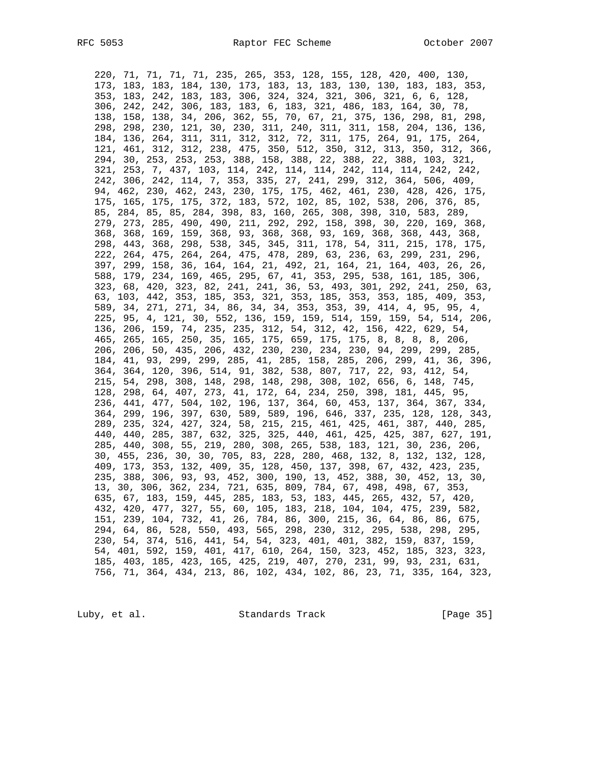220, 71, 71, 71, 71, 235, 265, 353, 128, 155, 128, 420, 400, 130, 173, 183, 183, 184, 130, 173, 183, 13, 183, 130, 130, 183, 183, 353, 353, 183, 242, 183, 183, 306, 324, 324, 321, 306, 321, 6, 6, 128, 306, 242, 242, 306, 183, 183, 6, 183, 321, 486, 183, 164, 30, 78, 138, 158, 138, 34, 206, 362, 55, 70, 67, 21, 375, 136, 298, 81, 298, 298, 298, 230, 121, 30, 230, 311, 240, 311, 311, 158, 204, 136, 136, 184, 136, 264, 311, 311, 312, 312, 72, 311, 175, 264, 91, 175, 264, 121, 461, 312, 312, 238, 475, 350, 512, 350, 312, 313, 350, 312, 366, 294, 30, 253, 253, 253, 388, 158, 388, 22, 388, 22, 388, 103, 321, 321, 253, 7, 437, 103, 114, 242, 114, 114, 242, 114, 114, 242, 242, 242, 306, 242, 114, 7, 353, 335, 27, 241, 299, 312, 364, 506, 409, 94, 462, 230, 462, 243, 230, 175, 175, 462, 461, 230, 428, 426, 175, 175, 165, 175, 175, 372, 183, 572, 102, 85, 102, 538, 206, 376, 85, 85, 284, 85, 85, 284, 398, 83, 160, 265, 308, 398, 310, 583, 289, 279, 273, 285, 490, 490, 211, 292, 292, 158, 398, 30, 220, 169, 368, 368, 368, 169, 159, 368, 93, 368, 368, 93, 169, 368, 368, 443, 368, 298, 443, 368, 298, 538, 345, 345, 311, 178, 54, 311, 215, 178, 175, 222, 264, 475, 264, 264, 475, 478, 289, 63, 236, 63, 299, 231, 296, 397, 299, 158, 36, 164, 164, 21, 492, 21, 164, 21, 164, 403, 26, 26, 588, 179, 234, 169, 465, 295, 67, 41, 353, 295, 538, 161, 185, 306, 323, 68, 420, 323, 82, 241, 241, 36, 53, 493, 301, 292, 241, 250, 63, 63, 103, 442, 353, 185, 353, 321, 353, 185, 353, 353, 185, 409, 353, 589, 34, 271, 271, 34, 86, 34, 34, 353, 353, 39, 414, 4, 95, 95, 4, 225, 95, 4, 121, 30, 552, 136, 159, 159, 514, 159, 159, 54, 514, 206, 136, 206, 159, 74, 235, 235, 312, 54, 312, 42, 156, 422, 629, 54, 465, 265, 165, 250, 35, 165, 175, 659, 175, 175, 8, 8, 8, 8, 206, 206, 206, 50, 435, 206, 432, 230, 230, 234, 230, 94, 299, 299, 285, 184, 41, 93, 299, 299, 285, 41, 285, 158, 285, 206, 299, 41, 36, 396, 364, 364, 120, 396, 514, 91, 382, 538, 807, 717, 22, 93, 412, 54, 215, 54, 298, 308, 148, 298, 148, 298, 308, 102, 656, 6, 148, 745, 128, 298, 64, 407, 273, 41, 172, 64, 234, 250, 398, 181, 445, 95, 236, 441, 477, 504, 102, 196, 137, 364, 60, 453, 137, 364, 367, 334, 364, 299, 196, 397, 630, 589, 589, 196, 646, 337, 235, 128, 128, 343, 289, 235, 324, 427, 324, 58, 215, 215, 461, 425, 461, 387, 440, 285, 440, 440, 285, 387, 632, 325, 325, 440, 461, 425, 425, 387, 627, 191, 285, 440, 308, 55, 219, 280, 308, 265, 538, 183, 121, 30, 236, 206, 30, 455, 236, 30, 30, 705, 83, 228, 280, 468, 132, 8, 132, 132, 128, 409, 173, 353, 132, 409, 35, 128, 450, 137, 398, 67, 432, 423, 235, 235, 388, 306, 93, 93, 452, 300, 190, 13, 452, 388, 30, 452, 13, 30, 13, 30, 306, 362, 234, 721, 635, 809, 784, 67, 498, 498, 67, 353, 635, 67, 183, 159, 445, 285, 183, 53, 183, 445, 265, 432, 57, 420, 432, 420, 477, 327, 55, 60, 105, 183, 218, 104, 104, 475, 239, 582, 151, 239, 104, 732, 41, 26, 784, 86, 300, 215, 36, 64, 86, 86, 675, 294, 64, 86, 528, 550, 493, 565, 298, 230, 312, 295, 538, 298, 295, 230, 54, 374, 516, 441, 54, 54, 323, 401, 401, 382, 159, 837, 159, 54, 401, 592, 159, 401, 417, 610, 264, 150, 323, 452, 185, 323, 323, 185, 403, 185, 423, 165, 425, 219, 407, 270, 231, 99, 93, 231, 631, 756, 71, 364, 434, 213, 86, 102, 434, 102, 86, 23, 71, 335, 164, 323,

Luby, et al. Standards Track [Page 35]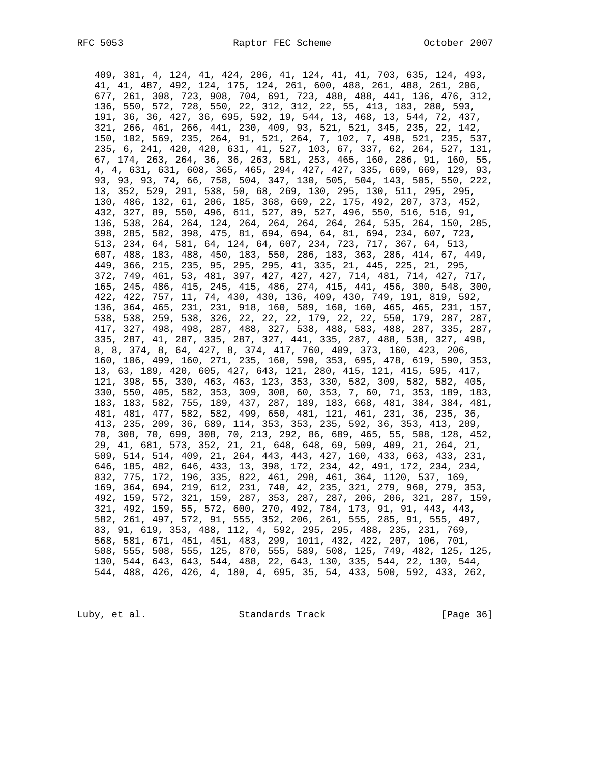409, 381, 4, 124, 41, 424, 206, 41, 124, 41, 41, 703, 635, 124, 493, 41, 41, 487, 492, 124, 175, 124, 261, 600, 488, 261, 488, 261, 206, 677, 261, 308, 723, 908, 704, 691, 723, 488, 488, 441, 136, 476, 312, 136, 550, 572, 728, 550, 22, 312, 312, 22, 55, 413, 183, 280, 593, 191, 36, 36, 427, 36, 695, 592, 19, 544, 13, 468, 13, 544, 72, 437, 321, 266, 461, 266, 441, 230, 409, 93, 521, 521, 345, 235, 22, 142, 150, 102, 569, 235, 264, 91, 521, 264, 7, 102, 7, 498, 521, 235, 537, 235, 6, 241, 420, 420, 631, 41, 527, 103, 67, 337, 62, 264, 527, 131, 67, 174, 263, 264, 36, 36, 263, 581, 253, 465, 160, 286, 91, 160, 55, 4, 4, 631, 631, 608, 365, 465, 294, 427, 427, 335, 669, 669, 129, 93, 93, 93, 93, 74, 66, 758, 504, 347, 130, 505, 504, 143, 505, 550, 222, 13, 352, 529, 291, 538, 50, 68, 269, 130, 295, 130, 511, 295, 295, 130, 486, 132, 61, 206, 185, 368, 669, 22, 175, 492, 207, 373, 452, 432, 327, 89, 550, 496, 611, 527, 89, 527, 496, 550, 516, 516, 91, 136, 538, 264, 264, 124, 264, 264, 264, 264, 264, 535, 264, 150, 285, 398, 285, 582, 398, 475, 81, 694, 694, 64, 81, 694, 234, 607, 723, 513, 234, 64, 581, 64, 124, 64, 607, 234, 723, 717, 367, 64, 513, 607, 488, 183, 488, 450, 183, 550, 286, 183, 363, 286, 414, 67, 449, 449, 366, 215, 235, 95, 295, 295, 41, 335, 21, 445, 225, 21, 295, 372, 749, 461, 53, 481, 397, 427, 427, 427, 714, 481, 714, 427, 717, 165, 245, 486, 415, 245, 415, 486, 274, 415, 441, 456, 300, 548, 300, 422, 422, 757, 11, 74, 430, 430, 136, 409, 430, 749, 191, 819, 592, 136, 364, 465, 231, 231, 918, 160, 589, 160, 160, 465, 465, 231, 157, 538, 538, 259, 538, 326, 22, 22, 22, 179, 22, 22, 550, 179, 287, 287, 417, 327, 498, 498, 287, 488, 327, 538, 488, 583, 488, 287, 335, 287, 335, 287, 41, 287, 335, 287, 327, 441, 335, 287, 488, 538, 327, 498, 8, 8, 374, 8, 64, 427, 8, 374, 417, 760, 409, 373, 160, 423, 206, 160, 106, 499, 160, 271, 235, 160, 590, 353, 695, 478, 619, 590, 353, 13, 63, 189, 420, 605, 427, 643, 121, 280, 415, 121, 415, 595, 417, 121, 398, 55, 330, 463, 463, 123, 353, 330, 582, 309, 582, 582, 405, 330, 550, 405, 582, 353, 309, 308, 60, 353, 7, 60, 71, 353, 189, 183, 183, 183, 582, 755, 189, 437, 287, 189, 183, 668, 481, 384, 384, 481, 481, 481, 477, 582, 582, 499, 650, 481, 121, 461, 231, 36, 235, 36, 413, 235, 209, 36, 689, 114, 353, 353, 235, 592, 36, 353, 413, 209, 70, 308, 70, 699, 308, 70, 213, 292, 86, 689, 465, 55, 508, 128, 452, 29, 41, 681, 573, 352, 21, 21, 648, 648, 69, 509, 409, 21, 264, 21, 509, 514, 514, 409, 21, 264, 443, 443, 427, 160, 433, 663, 433, 231, 646, 185, 482, 646, 433, 13, 398, 172, 234, 42, 491, 172, 234, 234, 832, 775, 172, 196, 335, 822, 461, 298, 461, 364, 1120, 537, 169, 169, 364, 694, 219, 612, 231, 740, 42, 235, 321, 279, 960, 279, 353, 492, 159, 572, 321, 159, 287, 353, 287, 287, 206, 206, 321, 287, 159, 321, 492, 159, 55, 572, 600, 270, 492, 784, 173, 91, 91, 443, 443, 582, 261, 497, 572, 91, 555, 352, 206, 261, 555, 285, 91, 555, 497, 83, 91, 619, 353, 488, 112, 4, 592, 295, 295, 488, 235, 231, 769, 568, 581, 671, 451, 451, 483, 299, 1011, 432, 422, 207, 106, 701, 508, 555, 508, 555, 125, 870, 555, 589, 508, 125, 749, 482, 125, 125, 130, 544, 643, 643, 544, 488, 22, 643, 130, 335, 544, 22, 130, 544, 544, 488, 426, 426, 4, 180, 4, 695, 35, 54, 433, 500, 592, 433, 262,

Luby, et al. Standards Track [Page 36]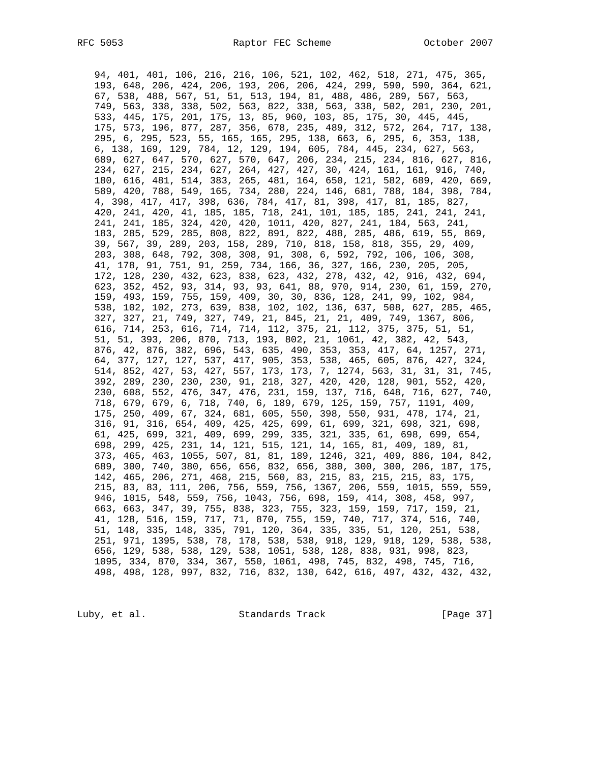94, 401, 401, 106, 216, 216, 106, 521, 102, 462, 518, 271, 475, 365, 193, 648, 206, 424, 206, 193, 206, 206, 424, 299, 590, 590, 364, 621, 67, 538, 488, 567, 51, 51, 513, 194, 81, 488, 486, 289, 567, 563, 749, 563, 338, 338, 502, 563, 822, 338, 563, 338, 502, 201, 230, 201, 533, 445, 175, 201, 175, 13, 85, 960, 103, 85, 175, 30, 445, 445, 175, 573, 196, 877, 287, 356, 678, 235, 489, 312, 572, 264, 717, 138, 295, 6, 295, 523, 55, 165, 165, 295, 138, 663, 6, 295, 6, 353, 138, 6, 138, 169, 129, 784, 12, 129, 194, 605, 784, 445, 234, 627, 563, 689, 627, 647, 570, 627, 570, 647, 206, 234, 215, 234, 816, 627, 816, 234, 627, 215, 234, 627, 264, 427, 427, 30, 424, 161, 161, 916, 740, 180, 616, 481, 514, 383, 265, 481, 164, 650, 121, 582, 689, 420, 669, 589, 420, 788, 549, 165, 734, 280, 224, 146, 681, 788, 184, 398, 784, 4, 398, 417, 417, 398, 636, 784, 417, 81, 398, 417, 81, 185, 827, 420, 241, 420, 41, 185, 185, 718, 241, 101, 185, 185, 241, 241, 241, 241, 241, 185, 324, 420, 420, 1011, 420, 827, 241, 184, 563, 241, 183, 285, 529, 285, 808, 822, 891, 822, 488, 285, 486, 619, 55, 869, 39, 567, 39, 289, 203, 158, 289, 710, 818, 158, 818, 355, 29, 409, 203, 308, 648, 792, 308, 308, 91, 308, 6, 592, 792, 106, 106, 308, 41, 178, 91, 751, 91, 259, 734, 166, 36, 327, 166, 230, 205, 205, 172, 128, 230, 432, 623, 838, 623, 432, 278, 432, 42, 916, 432, 694, 623, 352, 452, 93, 314, 93, 93, 641, 88, 970, 914, 230, 61, 159, 270, 159, 493, 159, 755, 159, 409, 30, 30, 836, 128, 241, 99, 102, 984, 538, 102, 102, 273, 639, 838, 102, 102, 136, 637, 508, 627, 285, 465, 327, 327, 21, 749, 327, 749, 21, 845, 21, 21, 409, 749, 1367, 806, 616, 714, 253, 616, 714, 714, 112, 375, 21, 112, 375, 375, 51, 51, 51, 51, 393, 206, 870, 713, 193, 802, 21, 1061, 42, 382, 42, 543, 876, 42, 876, 382, 696, 543, 635, 490, 353, 353, 417, 64, 1257, 271, 64, 377, 127, 127, 537, 417, 905, 353, 538, 465, 605, 876, 427, 324, 514, 852, 427, 53, 427, 557, 173, 173, 7, 1274, 563, 31, 31, 31, 745, 392, 289, 230, 230, 230, 91, 218, 327, 420, 420, 128, 901, 552, 420, 230, 608, 552, 476, 347, 476, 231, 159, 137, 716, 648, 716, 627, 740, 718, 679, 679, 6, 718, 740, 6, 189, 679, 125, 159, 757, 1191, 409, 175, 250, 409, 67, 324, 681, 605, 550, 398, 550, 931, 478, 174, 21, 316, 91, 316, 654, 409, 425, 425, 699, 61, 699, 321, 698, 321, 698, 61, 425, 699, 321, 409, 699, 299, 335, 321, 335, 61, 698, 699, 654, 698, 299, 425, 231, 14, 121, 515, 121, 14, 165, 81, 409, 189, 81, 373, 465, 463, 1055, 507, 81, 81, 189, 1246, 321, 409, 886, 104, 842, 689, 300, 740, 380, 656, 656, 832, 656, 380, 300, 300, 206, 187, 175, 142, 465, 206, 271, 468, 215, 560, 83, 215, 83, 215, 215, 83, 175, 215, 83, 83, 111, 206, 756, 559, 756, 1367, 206, 559, 1015, 559, 559, 946, 1015, 548, 559, 756, 1043, 756, 698, 159, 414, 308, 458, 997, 663, 663, 347, 39, 755, 838, 323, 755, 323, 159, 159, 717, 159, 21, 41, 128, 516, 159, 717, 71, 870, 755, 159, 740, 717, 374, 516, 740, 51, 148, 335, 148, 335, 791, 120, 364, 335, 335, 51, 120, 251, 538, 251, 971, 1395, 538, 78, 178, 538, 538, 918, 129, 918, 129, 538, 538, 656, 129, 538, 538, 129, 538, 1051, 538, 128, 838, 931, 998, 823, 1095, 334, 870, 334, 367, 550, 1061, 498, 745, 832, 498, 745, 716, 498, 498, 128, 997, 832, 716, 832, 130, 642, 616, 497, 432, 432, 432,

Luby, et al. Standards Track [Page 37]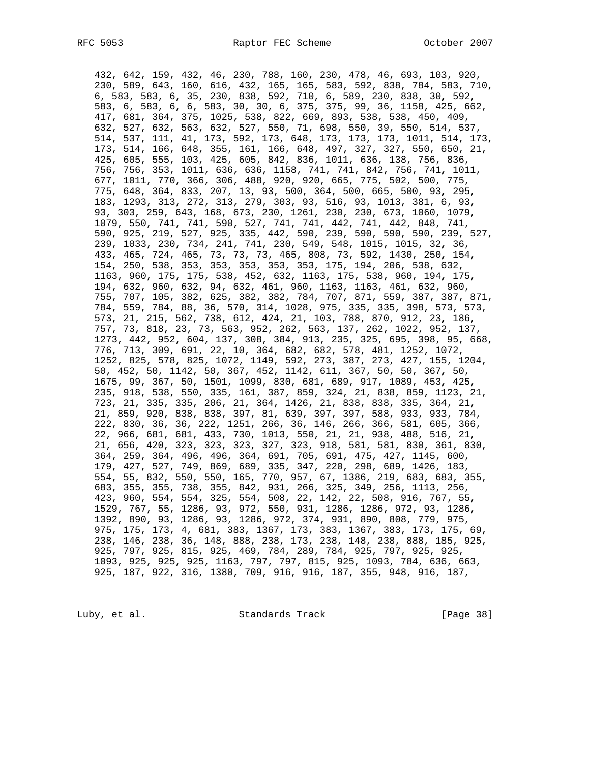432, 642, 159, 432, 46, 230, 788, 160, 230, 478, 46, 693, 103, 920, 230, 589, 643, 160, 616, 432, 165, 165, 583, 592, 838, 784, 583, 710, 6, 583, 583, 6, 35, 230, 838, 592, 710, 6, 589, 230, 838, 30, 592, 583, 6, 583, 6, 6, 583, 30, 30, 6, 375, 375, 99, 36, 1158, 425, 662, 417, 681, 364, 375, 1025, 538, 822, 669, 893, 538, 538, 450, 409, 632, 527, 632, 563, 632, 527, 550, 71, 698, 550, 39, 550, 514, 537, 514, 537, 111, 41, 173, 592, 173, 648, 173, 173, 173, 1011, 514, 173, 173, 514, 166, 648, 355, 161, 166, 648, 497, 327, 327, 550, 650, 21, 425, 605, 555, 103, 425, 605, 842, 836, 1011, 636, 138, 756, 836, 756, 756, 353, 1011, 636, 636, 1158, 741, 741, 842, 756, 741, 1011, 677, 1011, 770, 366, 306, 488, 920, 920, 665, 775, 502, 500, 775, 775, 648, 364, 833, 207, 13, 93, 500, 364, 500, 665, 500, 93, 295, 183, 1293, 313, 272, 313, 279, 303, 93, 516, 93, 1013, 381, 6, 93, 93, 303, 259, 643, 168, 673, 230, 1261, 230, 230, 673, 1060, 1079, 1079, 550, 741, 741, 590, 527, 741, 741, 442, 741, 442, 848, 741, 590, 925, 219, 527, 925, 335, 442, 590, 239, 590, 590, 590, 239, 527, 239, 1033, 230, 734, 241, 741, 230, 549, 548, 1015, 1015, 32, 36, 433, 465, 724, 465, 73, 73, 73, 465, 808, 73, 592, 1430, 250, 154, 154, 250, 538, 353, 353, 353, 353, 353, 175, 194, 206, 538, 632, 1163, 960, 175, 175, 538, 452, 632, 1163, 175, 538, 960, 194, 175, 194, 632, 960, 632, 94, 632, 461, 960, 1163, 1163, 461, 632, 960, 755, 707, 105, 382, 625, 382, 382, 784, 707, 871, 559, 387, 387, 871, 784, 559, 784, 88, 36, 570, 314, 1028, 975, 335, 335, 398, 573, 573, 573, 21, 215, 562, 738, 612, 424, 21, 103, 788, 870, 912, 23, 186, 757, 73, 818, 23, 73, 563, 952, 262, 563, 137, 262, 1022, 952, 137, 1273, 442, 952, 604, 137, 308, 384, 913, 235, 325, 695, 398, 95, 668, 776, 713, 309, 691, 22, 10, 364, 682, 682, 578, 481, 1252, 1072, 1252, 825, 578, 825, 1072, 1149, 592, 273, 387, 273, 427, 155, 1204, 50, 452, 50, 1142, 50, 367, 452, 1142, 611, 367, 50, 50, 367, 50, 1675, 99, 367, 50, 1501, 1099, 830, 681, 689, 917, 1089, 453, 425, 235, 918, 538, 550, 335, 161, 387, 859, 324, 21, 838, 859, 1123, 21, 723, 21, 335, 335, 206, 21, 364, 1426, 21, 838, 838, 335, 364, 21, 21, 859, 920, 838, 838, 397, 81, 639, 397, 397, 588, 933, 933, 784, 222, 830, 36, 36, 222, 1251, 266, 36, 146, 266, 366, 581, 605, 366, 22, 966, 681, 681, 433, 730, 1013, 550, 21, 21, 938, 488, 516, 21, 21, 656, 420, 323, 323, 323, 327, 323, 918, 581, 581, 830, 361, 830, 364, 259, 364, 496, 496, 364, 691, 705, 691, 475, 427, 1145, 600, 179, 427, 527, 749, 869, 689, 335, 347, 220, 298, 689, 1426, 183, 554, 55, 832, 550, 550, 165, 770, 957, 67, 1386, 219, 683, 683, 355, 683, 355, 355, 738, 355, 842, 931, 266, 325, 349, 256, 1113, 256, 423, 960, 554, 554, 325, 554, 508, 22, 142, 22, 508, 916, 767, 55, 1529, 767, 55, 1286, 93, 972, 550, 931, 1286, 1286, 972, 93, 1286, 1392, 890, 93, 1286, 93, 1286, 972, 374, 931, 890, 808, 779, 975, 975, 175, 173, 4, 681, 383, 1367, 173, 383, 1367, 383, 173, 175, 69, 238, 146, 238, 36, 148, 888, 238, 173, 238, 148, 238, 888, 185, 925, 925, 797, 925, 815, 925, 469, 784, 289, 784, 925, 797, 925, 925, 1093, 925, 925, 925, 1163, 797, 797, 815, 925, 1093, 784, 636, 663, 925, 187, 922, 316, 1380, 709, 916, 916, 187, 355, 948, 916, 187,

Luby, et al. Standards Track [Page 38]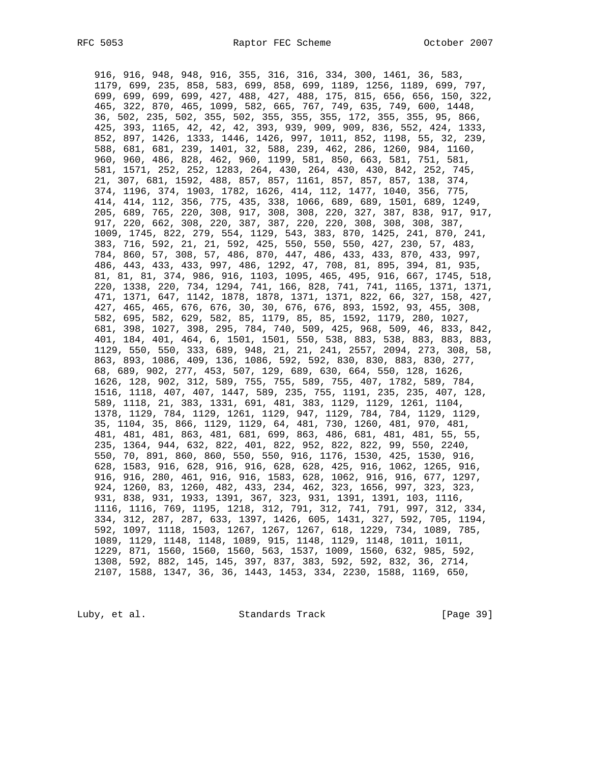916, 916, 948, 948, 916, 355, 316, 316, 334, 300, 1461, 36, 583, 1179, 699, 235, 858, 583, 699, 858, 699, 1189, 1256, 1189, 699, 797, 699, 699, 699, 699, 427, 488, 427, 488, 175, 815, 656, 656, 150, 322, 465, 322, 870, 465, 1099, 582, 665, 767, 749, 635, 749, 600, 1448, 36, 502, 235, 502, 355, 502, 355, 355, 355, 172, 355, 355, 95, 866, 425, 393, 1165, 42, 42, 42, 393, 939, 909, 909, 836, 552, 424, 1333, 852, 897, 1426, 1333, 1446, 1426, 997, 1011, 852, 1198, 55, 32, 239, 588, 681, 681, 239, 1401, 32, 588, 239, 462, 286, 1260, 984, 1160, 960, 960, 486, 828, 462, 960, 1199, 581, 850, 663, 581, 751, 581, 581, 1571, 252, 252, 1283, 264, 430, 264, 430, 430, 842, 252, 745, 21, 307, 681, 1592, 488, 857, 857, 1161, 857, 857, 857, 138, 374, 374, 1196, 374, 1903, 1782, 1626, 414, 112, 1477, 1040, 356, 775, 414, 414, 112, 356, 775, 435, 338, 1066, 689, 689, 1501, 689, 1249, 205, 689, 765, 220, 308, 917, 308, 308, 220, 327, 387, 838, 917, 917, 917, 220, 662, 308, 220, 387, 387, 220, 220, 308, 308, 308, 387, 1009, 1745, 822, 279, 554, 1129, 543, 383, 870, 1425, 241, 870, 241, 383, 716, 592, 21, 21, 592, 425, 550, 550, 550, 427, 230, 57, 483, 784, 860, 57, 308, 57, 486, 870, 447, 486, 433, 433, 870, 433, 997, 486, 443, 433, 433, 997, 486, 1292, 47, 708, 81, 895, 394, 81, 935, 81, 81, 81, 374, 986, 916, 1103, 1095, 465, 495, 916, 667, 1745, 518, 220, 1338, 220, 734, 1294, 741, 166, 828, 741, 741, 1165, 1371, 1371, 471, 1371, 647, 1142, 1878, 1878, 1371, 1371, 822, 66, 327, 158, 427, 427, 465, 465, 676, 676, 30, 30, 676, 676, 893, 1592, 93, 455, 308, 582, 695, 582, 629, 582, 85, 1179, 85, 85, 1592, 1179, 280, 1027, 681, 398, 1027, 398, 295, 784, 740, 509, 425, 968, 509, 46, 833, 842, 401, 184, 401, 464, 6, 1501, 1501, 550, 538, 883, 538, 883, 883, 883, 1129, 550, 550, 333, 689, 948, 21, 21, 241, 2557, 2094, 273, 308, 58, 863, 893, 1086, 409, 136, 1086, 592, 592, 830, 830, 883, 830, 277, 68, 689, 902, 277, 453, 507, 129, 689, 630, 664, 550, 128, 1626, 1626, 128, 902, 312, 589, 755, 755, 589, 755, 407, 1782, 589, 784, 1516, 1118, 407, 407, 1447, 589, 235, 755, 1191, 235, 235, 407, 128, 589, 1118, 21, 383, 1331, 691, 481, 383, 1129, 1129, 1261, 1104, 1378, 1129, 784, 1129, 1261, 1129, 947, 1129, 784, 784, 1129, 1129, 35, 1104, 35, 866, 1129, 1129, 64, 481, 730, 1260, 481, 970, 481, 481, 481, 481, 863, 481, 681, 699, 863, 486, 681, 481, 481, 55, 55, 235, 1364, 944, 632, 822, 401, 822, 952, 822, 822, 99, 550, 2240, 550, 70, 891, 860, 860, 550, 550, 916, 1176, 1530, 425, 1530, 916, 628, 1583, 916, 628, 916, 916, 628, 628, 425, 916, 1062, 1265, 916, 916, 916, 280, 461, 916, 916, 1583, 628, 1062, 916, 916, 677, 1297, 924, 1260, 83, 1260, 482, 433, 234, 462, 323, 1656, 997, 323, 323, 931, 838, 931, 1933, 1391, 367, 323, 931, 1391, 1391, 103, 1116, 1116, 1116, 769, 1195, 1218, 312, 791, 312, 741, 791, 997, 312, 334, 334, 312, 287, 287, 633, 1397, 1426, 605, 1431, 327, 592, 705, 1194, 592, 1097, 1118, 1503, 1267, 1267, 1267, 618, 1229, 734, 1089, 785, 1089, 1129, 1148, 1148, 1089, 915, 1148, 1129, 1148, 1011, 1011, 1229, 871, 1560, 1560, 1560, 563, 1537, 1009, 1560, 632, 985, 592, 1308, 592, 882, 145, 145, 397, 837, 383, 592, 592, 832, 36, 2714, 2107, 1588, 1347, 36, 36, 1443, 1453, 334, 2230, 1588, 1169, 650,

Luby, et al. Standards Track [Page 39]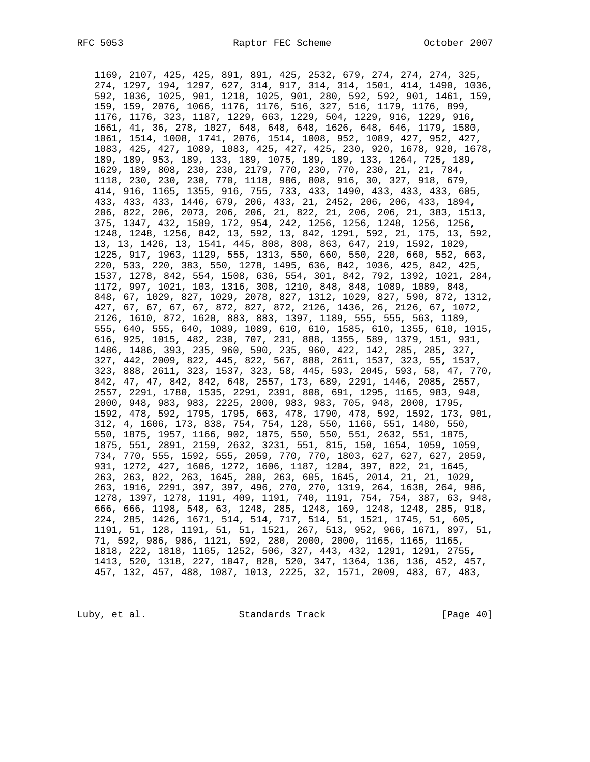1169, 2107, 425, 425, 891, 891, 425, 2532, 679, 274, 274, 274, 325, 274, 1297, 194, 1297, 627, 314, 917, 314, 314, 1501, 414, 1490, 1036, 592, 1036, 1025, 901, 1218, 1025, 901, 280, 592, 592, 901, 1461, 159, 159, 159, 2076, 1066, 1176, 1176, 516, 327, 516, 1179, 1176, 899, 1176, 1176, 323, 1187, 1229, 663, 1229, 504, 1229, 916, 1229, 916, 1661, 41, 36, 278, 1027, 648, 648, 648, 1626, 648, 646, 1179, 1580, 1061, 1514, 1008, 1741, 2076, 1514, 1008, 952, 1089, 427, 952, 427, 1083, 425, 427, 1089, 1083, 425, 427, 425, 230, 920, 1678, 920, 1678, 189, 189, 953, 189, 133, 189, 1075, 189, 189, 133, 1264, 725, 189, 1629, 189, 808, 230, 230, 2179, 770, 230, 770, 230, 21, 21, 784, 1118, 230, 230, 230, 770, 1118, 986, 808, 916, 30, 327, 918, 679, 414, 916, 1165, 1355, 916, 755, 733, 433, 1490, 433, 433, 433, 605, 433, 433, 433, 1446, 679, 206, 433, 21, 2452, 206, 206, 433, 1894, 206, 822, 206, 2073, 206, 206, 21, 822, 21, 206, 206, 21, 383, 1513, 375, 1347, 432, 1589, 172, 954, 242, 1256, 1256, 1248, 1256, 1256, 1248, 1248, 1256, 842, 13, 592, 13, 842, 1291, 592, 21, 175, 13, 592, 13, 13, 1426, 13, 1541, 445, 808, 808, 863, 647, 219, 1592, 1029, 1225, 917, 1963, 1129, 555, 1313, 550, 660, 550, 220, 660, 552, 663, 220, 533, 220, 383, 550, 1278, 1495, 636, 842, 1036, 425, 842, 425, 1537, 1278, 842, 554, 1508, 636, 554, 301, 842, 792, 1392, 1021, 284, 1172, 997, 1021, 103, 1316, 308, 1210, 848, 848, 1089, 1089, 848, 848, 67, 1029, 827, 1029, 2078, 827, 1312, 1029, 827, 590, 872, 1312, 427, 67, 67, 67, 67, 872, 827, 872, 2126, 1436, 26, 2126, 67, 1072, 2126, 1610, 872, 1620, 883, 883, 1397, 1189, 555, 555, 563, 1189, 555, 640, 555, 640, 1089, 1089, 610, 610, 1585, 610, 1355, 610, 1015, 616, 925, 1015, 482, 230, 707, 231, 888, 1355, 589, 1379, 151, 931, 1486, 1486, 393, 235, 960, 590, 235, 960, 422, 142, 285, 285, 327, 327, 442, 2009, 822, 445, 822, 567, 888, 2611, 1537, 323, 55, 1537, 323, 888, 2611, 323, 1537, 323, 58, 445, 593, 2045, 593, 58, 47, 770, 842, 47, 47, 842, 842, 648, 2557, 173, 689, 2291, 1446, 2085, 2557, 2557, 2291, 1780, 1535, 2291, 2391, 808, 691, 1295, 1165, 983, 948, 2000, 948, 983, 983, 2225, 2000, 983, 983, 705, 948, 2000, 1795, 1592, 478, 592, 1795, 1795, 663, 478, 1790, 478, 592, 1592, 173, 901, 312, 4, 1606, 173, 838, 754, 754, 128, 550, 1166, 551, 1480, 550, 550, 1875, 1957, 1166, 902, 1875, 550, 550, 551, 2632, 551, 1875, 1875, 551, 2891, 2159, 2632, 3231, 551, 815, 150, 1654, 1059, 1059, 734, 770, 555, 1592, 555, 2059, 770, 770, 1803, 627, 627, 627, 2059, 931, 1272, 427, 1606, 1272, 1606, 1187, 1204, 397, 822, 21, 1645, 263, 263, 822, 263, 1645, 280, 263, 605, 1645, 2014, 21, 21, 1029, 263, 1916, 2291, 397, 397, 496, 270, 270, 1319, 264, 1638, 264, 986, 1278, 1397, 1278, 1191, 409, 1191, 740, 1191, 754, 754, 387, 63, 948, 666, 666, 1198, 548, 63, 1248, 285, 1248, 169, 1248, 1248, 285, 918, 224, 285, 1426, 1671, 514, 514, 717, 514, 51, 1521, 1745, 51, 605, 1191, 51, 128, 1191, 51, 51, 1521, 267, 513, 952, 966, 1671, 897, 51, 71, 592, 986, 986, 1121, 592, 280, 2000, 2000, 1165, 1165, 1165, 1818, 222, 1818, 1165, 1252, 506, 327, 443, 432, 1291, 1291, 2755, 1413, 520, 1318, 227, 1047, 828, 520, 347, 1364, 136, 136, 452, 457, 457, 132, 457, 488, 1087, 1013, 2225, 32, 1571, 2009, 483, 67, 483,

Luby, et al. Standards Track [Page 40]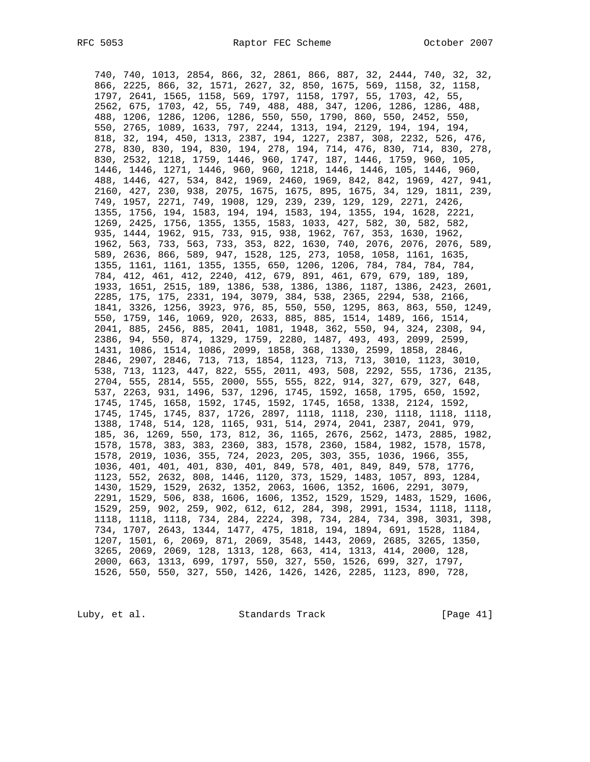740, 740, 1013, 2854, 866, 32, 2861, 866, 887, 32, 2444, 740, 32, 32, 866, 2225, 866, 32, 1571, 2627, 32, 850, 1675, 569, 1158, 32, 1158, 1797, 2641, 1565, 1158, 569, 1797, 1158, 1797, 55, 1703, 42, 55, 2562, 675, 1703, 42, 55, 749, 488, 488, 347, 1206, 1286, 1286, 488, 488, 1206, 1286, 1206, 1286, 550, 550, 1790, 860, 550, 2452, 550, 550, 2765, 1089, 1633, 797, 2244, 1313, 194, 2129, 194, 194, 194, 818, 32, 194, 450, 1313, 2387, 194, 1227, 2387, 308, 2232, 526, 476, 278, 830, 830, 194, 830, 194, 278, 194, 714, 476, 830, 714, 830, 278, 830, 2532, 1218, 1759, 1446, 960, 1747, 187, 1446, 1759, 960, 105, 1446, 1446, 1271, 1446, 960, 960, 1218, 1446, 1446, 105, 1446, 960, 488, 1446, 427, 534, 842, 1969, 2460, 1969, 842, 842, 1969, 427, 941, 2160, 427, 230, 938, 2075, 1675, 1675, 895, 1675, 34, 129, 1811, 239, 749, 1957, 2271, 749, 1908, 129, 239, 239, 129, 129, 2271, 2426, 1355, 1756, 194, 1583, 194, 194, 1583, 194, 1355, 194, 1628, 2221, 1269, 2425, 1756, 1355, 1355, 1583, 1033, 427, 582, 30, 582, 582, 935, 1444, 1962, 915, 733, 915, 938, 1962, 767, 353, 1630, 1962, 1962, 563, 733, 563, 733, 353, 822, 1630, 740, 2076, 2076, 2076, 589, 589, 2636, 866, 589, 947, 1528, 125, 273, 1058, 1058, 1161, 1635, 1355, 1161, 1161, 1355, 1355, 650, 1206, 1206, 784, 784, 784, 784, 784, 412, 461, 412, 2240, 412, 679, 891, 461, 679, 679, 189, 189, 1933, 1651, 2515, 189, 1386, 538, 1386, 1386, 1187, 1386, 2423, 2601, 2285, 175, 175, 2331, 194, 3079, 384, 538, 2365, 2294, 538, 2166, 1841, 3326, 1256, 3923, 976, 85, 550, 550, 1295, 863, 863, 550, 1249, 550, 1759, 146, 1069, 920, 2633, 885, 885, 1514, 1489, 166, 1514, 2041, 885, 2456, 885, 2041, 1081, 1948, 362, 550, 94, 324, 2308, 94, 2386, 94, 550, 874, 1329, 1759, 2280, 1487, 493, 493, 2099, 2599, 1431, 1086, 1514, 1086, 2099, 1858, 368, 1330, 2599, 1858, 2846, 2846, 2907, 2846, 713, 713, 1854, 1123, 713, 713, 3010, 1123, 3010, 538, 713, 1123, 447, 822, 555, 2011, 493, 508, 2292, 555, 1736, 2135, 2704, 555, 2814, 555, 2000, 555, 555, 822, 914, 327, 679, 327, 648, 537, 2263, 931, 1496, 537, 1296, 1745, 1592, 1658, 1795, 650, 1592, 1745, 1745, 1658, 1592, 1745, 1592, 1745, 1658, 1338, 2124, 1592, 1745, 1745, 1745, 837, 1726, 2897, 1118, 1118, 230, 1118, 1118, 1118, 1388, 1748, 514, 128, 1165, 931, 514, 2974, 2041, 2387, 2041, 979, 185, 36, 1269, 550, 173, 812, 36, 1165, 2676, 2562, 1473, 2885, 1982, 1578, 1578, 383, 383, 2360, 383, 1578, 2360, 1584, 1982, 1578, 1578, 1578, 2019, 1036, 355, 724, 2023, 205, 303, 355, 1036, 1966, 355, 1036, 401, 401, 401, 830, 401, 849, 578, 401, 849, 849, 578, 1776, 1123, 552, 2632, 808, 1446, 1120, 373, 1529, 1483, 1057, 893, 1284, 1430, 1529, 1529, 2632, 1352, 2063, 1606, 1352, 1606, 2291, 3079, 2291, 1529, 506, 838, 1606, 1606, 1352, 1529, 1529, 1483, 1529, 1606, 1529, 259, 902, 259, 902, 612, 612, 284, 398, 2991, 1534, 1118, 1118, 1118, 1118, 1118, 734, 284, 2224, 398, 734, 284, 734, 398, 3031, 398, 734, 1707, 2643, 1344, 1477, 475, 1818, 194, 1894, 691, 1528, 1184, 1207, 1501, 6, 2069, 871, 2069, 3548, 1443, 2069, 2685, 3265, 1350, 3265, 2069, 2069, 128, 1313, 128, 663, 414, 1313, 414, 2000, 128, 2000, 663, 1313, 699, 1797, 550, 327, 550, 1526, 699, 327, 1797, 1526, 550, 550, 327, 550, 1426, 1426, 1426, 2285, 1123, 890, 728,

Luby, et al. Standards Track [Page 41]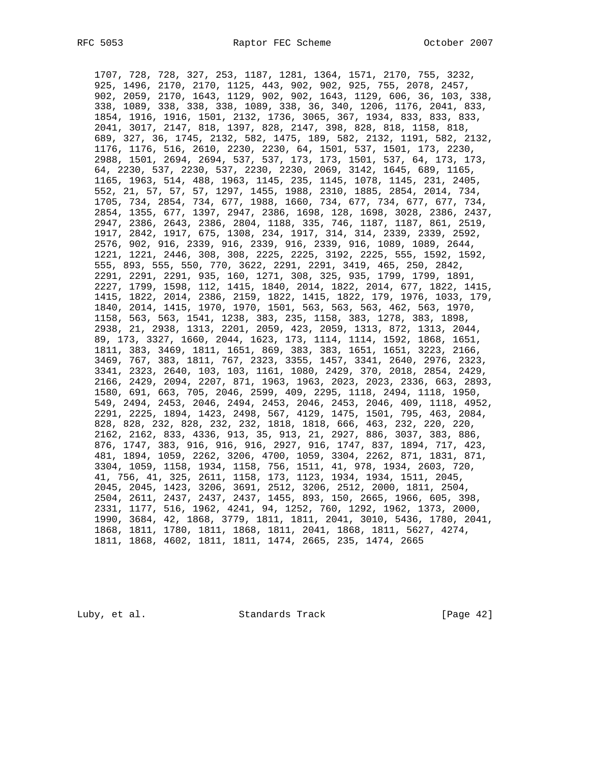1707, 728, 728, 327, 253, 1187, 1281, 1364, 1571, 2170, 755, 3232, 925, 1496, 2170, 2170, 1125, 443, 902, 902, 925, 755, 2078, 2457, 902, 2059, 2170, 1643, 1129, 902, 902, 1643, 1129, 606, 36, 103, 338, 338, 1089, 338, 338, 338, 1089, 338, 36, 340, 1206, 1176, 2041, 833, 1854, 1916, 1916, 1501, 2132, 1736, 3065, 367, 1934, 833, 833, 833, 2041, 3017, 2147, 818, 1397, 828, 2147, 398, 828, 818, 1158, 818, 689, 327, 36, 1745, 2132, 582, 1475, 189, 582, 2132, 1191, 582, 2132, 1176, 1176, 516, 2610, 2230, 2230, 64, 1501, 537, 1501, 173, 2230, 2988, 1501, 2694, 2694, 537, 537, 173, 173, 1501, 537, 64, 173, 173, 64, 2230, 537, 2230, 537, 2230, 2230, 2069, 3142, 1645, 689, 1165, 1165, 1963, 514, 488, 1963, 1145, 235, 1145, 1078, 1145, 231, 2405, 552, 21, 57, 57, 57, 1297, 1455, 1988, 2310, 1885, 2854, 2014, 734, 1705, 734, 2854, 734, 677, 1988, 1660, 734, 677, 734, 677, 677, 734, 2854, 1355, 677, 1397, 2947, 2386, 1698, 128, 1698, 3028, 2386, 2437, 2947, 2386, 2643, 2386, 2804, 1188, 335, 746, 1187, 1187, 861, 2519, 1917, 2842, 1917, 675, 1308, 234, 1917, 314, 314, 2339, 2339, 2592, 2576, 902, 916, 2339, 916, 2339, 916, 2339, 916, 1089, 1089, 2644, 1221, 1221, 2446, 308, 308, 2225, 2225, 3192, 2225, 555, 1592, 1592, 555, 893, 555, 550, 770, 3622, 2291, 2291, 3419, 465, 250, 2842, 2291, 2291, 2291, 935, 160, 1271, 308, 325, 935, 1799, 1799, 1891, 2227, 1799, 1598, 112, 1415, 1840, 2014, 1822, 2014, 677, 1822, 1415, 1415, 1822, 2014, 2386, 2159, 1822, 1415, 1822, 179, 1976, 1033, 179, 1840, 2014, 1415, 1970, 1970, 1501, 563, 563, 563, 462, 563, 1970, 1158, 563, 563, 1541, 1238, 383, 235, 1158, 383, 1278, 383, 1898, 2938, 21, 2938, 1313, 2201, 2059, 423, 2059, 1313, 872, 1313, 2044, 89, 173, 3327, 1660, 2044, 1623, 173, 1114, 1114, 1592, 1868, 1651, 1811, 383, 3469, 1811, 1651, 869, 383, 383, 1651, 1651, 3223, 2166, 3469, 767, 383, 1811, 767, 2323, 3355, 1457, 3341, 2640, 2976, 2323, 3341, 2323, 2640, 103, 103, 1161, 1080, 2429, 370, 2018, 2854, 2429, 2166, 2429, 2094, 2207, 871, 1963, 1963, 2023, 2023, 2336, 663, 2893, 1580, 691, 663, 705, 2046, 2599, 409, 2295, 1118, 2494, 1118, 1950, 549, 2494, 2453, 2046, 2494, 2453, 2046, 2453, 2046, 409, 1118, 4952, 2291, 2225, 1894, 1423, 2498, 567, 4129, 1475, 1501, 795, 463, 2084, 828, 828, 232, 828, 232, 232, 1818, 1818, 666, 463, 232, 220, 220, 2162, 2162, 833, 4336, 913, 35, 913, 21, 2927, 886, 3037, 383, 886, 876, 1747, 383, 916, 916, 916, 2927, 916, 1747, 837, 1894, 717, 423, 481, 1894, 1059, 2262, 3206, 4700, 1059, 3304, 2262, 871, 1831, 871, 3304, 1059, 1158, 1934, 1158, 756, 1511, 41, 978, 1934, 2603, 720, 41, 756, 41, 325, 2611, 1158, 173, 1123, 1934, 1934, 1511, 2045, 2045, 2045, 1423, 3206, 3691, 2512, 3206, 2512, 2000, 1811, 2504, 2504, 2611, 2437, 2437, 2437, 1455, 893, 150, 2665, 1966, 605, 398, 2331, 1177, 516, 1962, 4241, 94, 1252, 760, 1292, 1962, 1373, 2000, 1990, 3684, 42, 1868, 3779, 1811, 1811, 2041, 3010, 5436, 1780, 2041, 1868, 1811, 1780, 1811, 1868, 1811, 2041, 1868, 1811, 5627, 4274, 1811, 1868, 4602, 1811, 1811, 1474, 2665, 235, 1474, 2665

Luby, et al. Standards Track [Page 42]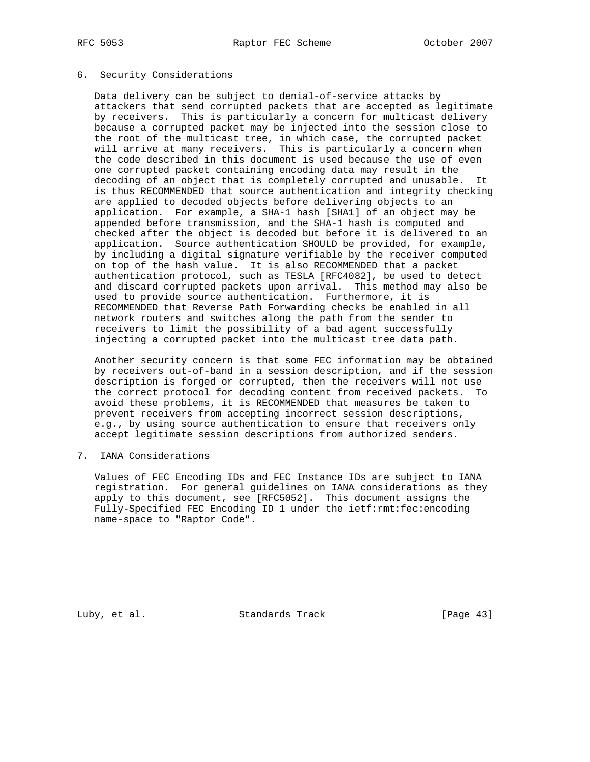## 6. Security Considerations

 Data delivery can be subject to denial-of-service attacks by attackers that send corrupted packets that are accepted as legitimate by receivers. This is particularly a concern for multicast delivery because a corrupted packet may be injected into the session close to the root of the multicast tree, in which case, the corrupted packet will arrive at many receivers. This is particularly a concern when the code described in this document is used because the use of even one corrupted packet containing encoding data may result in the decoding of an object that is completely corrupted and unusable. It is thus RECOMMENDED that source authentication and integrity checking are applied to decoded objects before delivering objects to an application. For example, a SHA-1 hash [SHA1] of an object may be appended before transmission, and the SHA-1 hash is computed and checked after the object is decoded but before it is delivered to an application. Source authentication SHOULD be provided, for example, by including a digital signature verifiable by the receiver computed on top of the hash value. It is also RECOMMENDED that a packet authentication protocol, such as TESLA [RFC4082], be used to detect and discard corrupted packets upon arrival. This method may also be used to provide source authentication. Furthermore, it is RECOMMENDED that Reverse Path Forwarding checks be enabled in all network routers and switches along the path from the sender to receivers to limit the possibility of a bad agent successfully injecting a corrupted packet into the multicast tree data path.

 Another security concern is that some FEC information may be obtained by receivers out-of-band in a session description, and if the session description is forged or corrupted, then the receivers will not use the correct protocol for decoding content from received packets. To avoid these problems, it is RECOMMENDED that measures be taken to prevent receivers from accepting incorrect session descriptions, e.g., by using source authentication to ensure that receivers only accept legitimate session descriptions from authorized senders.

7. IANA Considerations

 Values of FEC Encoding IDs and FEC Instance IDs are subject to IANA registration. For general guidelines on IANA considerations as they apply to this document, see [RFC5052]. This document assigns the Fully-Specified FEC Encoding ID 1 under the ietf:rmt:fec:encoding name-space to "Raptor Code".

Luby, et al. Standards Track [Page 43]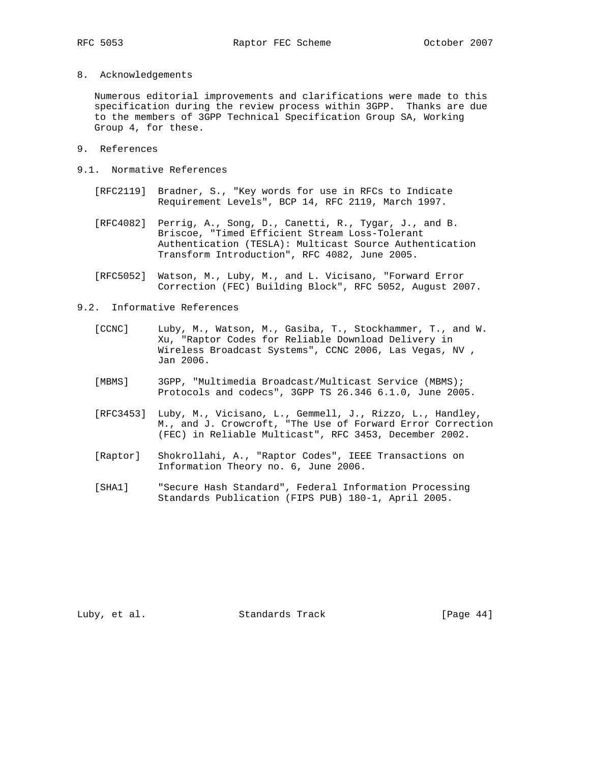8. Acknowledgements

 Numerous editorial improvements and clarifications were made to this specification during the review process within 3GPP. Thanks are due to the members of 3GPP Technical Specification Group SA, Working Group 4, for these.

- 9. References
- 9.1. Normative References
	- [RFC2119] Bradner, S., "Key words for use in RFCs to Indicate Requirement Levels", BCP 14, RFC 2119, March 1997.
	- [RFC4082] Perrig, A., Song, D., Canetti, R., Tygar, J., and B. Briscoe, "Timed Efficient Stream Loss-Tolerant Authentication (TESLA): Multicast Source Authentication Transform Introduction", RFC 4082, June 2005.
	- [RFC5052] Watson, M., Luby, M., and L. Vicisano, "Forward Error Correction (FEC) Building Block", RFC 5052, August 2007.
- 9.2. Informative References
	- [CCNC] Luby, M., Watson, M., Gasiba, T., Stockhammer, T., and W. Xu, "Raptor Codes for Reliable Download Delivery in Wireless Broadcast Systems", CCNC 2006, Las Vegas, NV , Jan 2006.
	- [MBMS] 3GPP, "Multimedia Broadcast/Multicast Service (MBMS); Protocols and codecs", 3GPP TS 26.346 6.1.0, June 2005.
	- [RFC3453] Luby, M., Vicisano, L., Gemmell, J., Rizzo, L., Handley, M., and J. Crowcroft, "The Use of Forward Error Correction (FEC) in Reliable Multicast", RFC 3453, December 2002.
	- [Raptor] Shokrollahi, A., "Raptor Codes", IEEE Transactions on Information Theory no. 6, June 2006.
	- [SHA1] "Secure Hash Standard", Federal Information Processing Standards Publication (FIPS PUB) 180-1, April 2005.

Luby, et al. Standards Track [Page 44]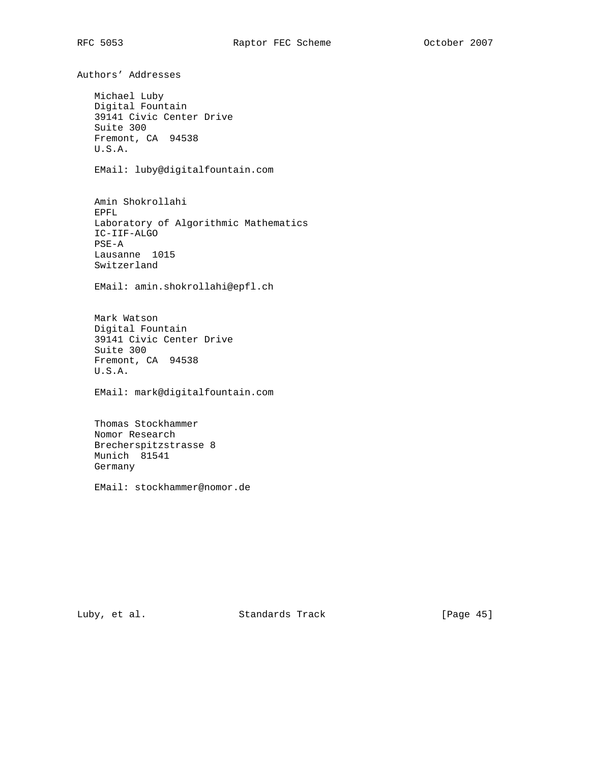Authors' Addresses Michael Luby Digital Fountain 39141 Civic Center Drive Suite 300 Fremont, CA 94538 U.S.A. EMail: luby@digitalfountain.com Amin Shokrollahi EPFL Laboratory of Algorithmic Mathematics IC-IIF-ALGO PSE-A Lausanne 1015 Switzerland EMail: amin.shokrollahi@epfl.ch Mark Watson Digital Fountain 39141 Civic Center Drive Suite 300 Fremont, CA 94538 U.S.A. EMail: mark@digitalfountain.com Thomas Stockhammer Nomor Research Brecherspitzstrasse 8 Munich 81541 Germany EMail: stockhammer@nomor.de

Luby, et al. Standards Track [Page 45]